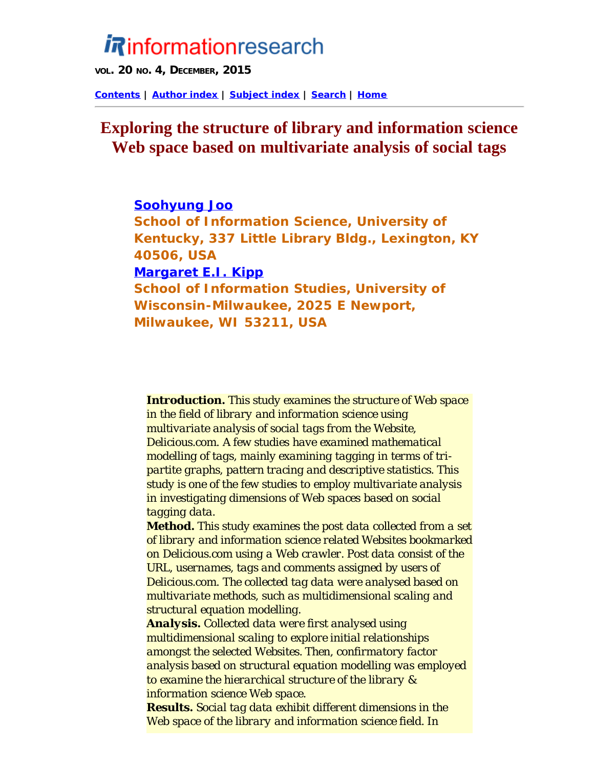# <span id="page-0-0"></span>*i* Rinformationresearch

**VOL. 20 NO. 4, DECEMBER, 2015**

**[Contents](http://www.informationr.net/ir/20-4/infres204.html) | [Author index](http://www.informationr.net/ir/iraindex.html) | [Subject index](http://www.informationr.net/ir/irsindex.html) | [Search](http://www.informationr.net/ir/search.html) | [Home](http://www.informationr.net/ir/index.html)**

## **Exploring the structure of library and information science Web space based on multivariate analysis of social tags**

**Soohyung Joo School of Information Science, University of Kentucky, 337 Little Library Bldg., Lexington, KY 40506, USA Margaret E.I. Kipp School of Information Studies, University of Wisconsin-Milwaukee, 2025 E Newport, Milwaukee, WI 53211, USA**

*Introduction. This study examines the structure of Web space in the field of library and information science using multivariate analysis of social tags from the Website, Delicious.com. A few studies have examined mathematical modelling of tags, mainly examining tagging in terms of tripartite graphs, pattern tracing and descriptive statistics. This study is one of the few studies to employ multivariate analysis in investigating dimensions of Web spaces based on social tagging data.*

*Method. This study examines the post data collected from a set of library and information science related Websites bookmarked on Delicious.com using a Web crawler. Post data consist of the URL, usernames, tags and comments assigned by users of Delicious.com. The collected tag data were analysed based on multivariate methods, such as multidimensional scaling and structural equation modelling.* 

*Analysis. Collected data were first analysed using multidimensional scaling to explore initial relationships amongst the selected Websites. Then, confirmatory factor analysis based on structural equation modelling was employed to examine the hierarchical structure of the library & information science Web space.*

*Results. Social tag data exhibit different dimensions in the Web space of the library and information science field. In*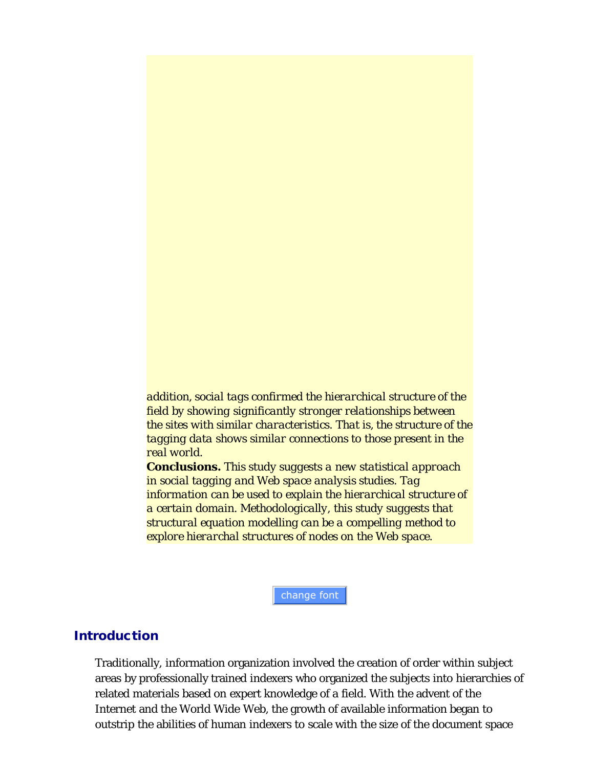*addition, social tags confirmed the hierarchical structure of the field by showing significantly stronger relationships between the sites with similar characteristics. That is, the structure of the tagging data shows similar connections to those present in the real world.* 

*Conclusions. This study suggests a new statistical approach in social tagging and Web space analysis studies. Tag information can be used to explain the hierarchical structure of a certain domain. Methodologically, this study suggests that structural equation modelling can be a compelling method to explore hierarchal structures of nodes on the Web space.*

change font

#### **Introduction**

Traditionally, information organization involved the creation of order within subject areas by professionally trained indexers who organized the subjects into hierarchies of related materials based on expert knowledge of a field. With the advent of the Internet and the World Wide Web, the growth of available information began to outstrip the abilities of human indexers to scale with the size of the document space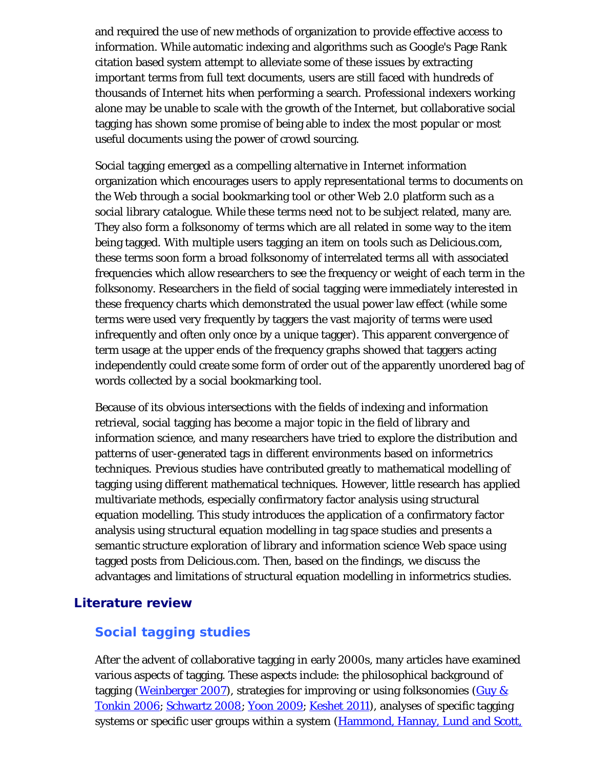and required the use of new methods of organization to provide effective access to information. While automatic indexing and algorithms such as Google's Page Rank citation based system attempt to alleviate some of these issues by extracting important terms from full text documents, users are still faced with hundreds of thousands of Internet hits when performing a search. Professional indexers working alone may be unable to scale with the growth of the Internet, but collaborative social tagging has shown some promise of being able to index the most popular or most useful documents using the power of crowd sourcing.

Social tagging emerged as a compelling alternative in Internet information organization which encourages users to apply representational terms to documents on the Web through a social bookmarking tool or other Web 2.0 platform such as a social library catalogue. While these terms need not to be subject related, many are. They also form a *folksonomy* of terms which are all related in some way to the item being tagged. With multiple users tagging an item on tools such as Delicious.com, these terms soon form a broad folksonomy of interrelated terms all with associated frequencies which allow researchers to see the frequency or weight of each term in the folksonomy. Researchers in the field of social tagging were immediately interested in these frequency charts which demonstrated the usual power law effect (while some terms were used very frequently by taggers the vast majority of terms were used infrequently and often only once by a unique tagger). This apparent convergence of term usage at the upper ends of the frequency graphs showed that taggers acting independently could create some form of order out of the apparently unordered bag of words collected by a social bookmarking tool.

Because of its obvious intersections with the fields of indexing and information retrieval, social tagging has become a major topic in the field of library and information science, and many researchers have tried to explore the distribution and patterns of user-generated tags in different environments based on informetrics techniques. Previous studies have contributed greatly to mathematical modelling of tagging using different mathematical techniques. However, little research has applied multivariate methods, especially confirmatory factor analysis using structural equation modelling. This study introduces the application of a confirmatory factor analysis using structural equation modelling in tag space studies and presents a semantic structure exploration of library and information science Web space using tagged posts from Delicious.com. Then, based on the findings, we discuss the advantages and limitations of structural equation modelling in informetrics studies.

## Literature review

## **Social tagging studies**

After the advent of collaborative tagging in early 2000s, many articles have examined various aspects of tagging. These aspects include: the philosophical background of tagging (Weinberger 2007), strategies for improving or using folksonomies (Guy  $\&$ Tonkin 2006; Schwartz 2008; Yoon 2009; Keshet 2011), analyses of specific tagging systems or specific user groups within a system (Hammond, Hannay, Lund and Scott,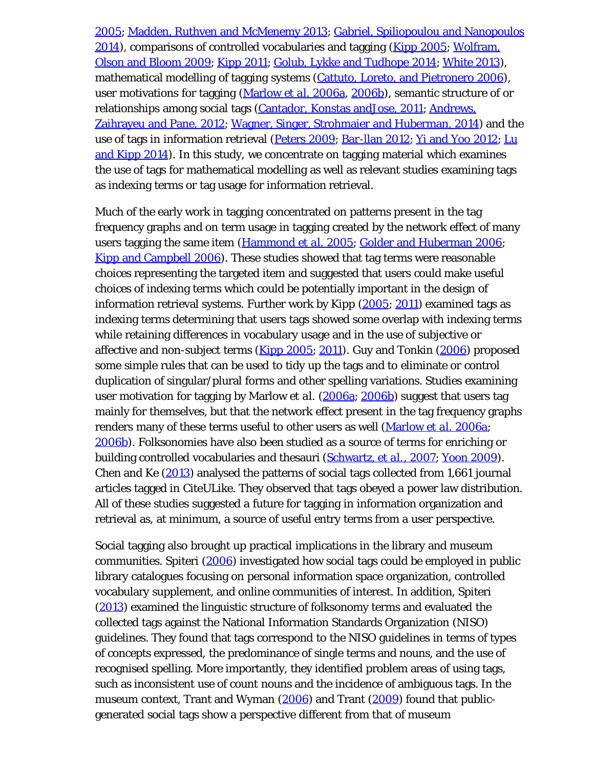2005; Madden, Ruthven and McMenemy 2013; Gabriel, Spiliopoulou and Nanopoulos 2014), comparisons of controlled vocabularies and tagging (Kipp 2005; Wolfram, Olson and Bloom 2009; Kipp 2011; Golub, Lykke and Tudhope 2014; White 2013), mathematical modelling of tagging systems (Cattuto, Loreto, and Pietronero 2006), user motivations for tagging (Marlow *et al.* 2006a, 2006b), semantic structure of or relationships among social tags (Cantador, Konstas andJose, 2011; Andrews, Zaihrayeu and Pane, 2012; Wagner, Singer, Strohmaier and Huberman, 2014) and the use of tags in information retrieval (Peters 2009; Bar-llan 2012; Yi and Yoo 2012; Lu and Kipp 2014). In this study, we concentrate on tagging material which examines the use of tags for mathematical modelling as well as relevant studies examining tags as indexing terms or tag usage for information retrieval.

Much of the early work in tagging concentrated on patterns present in the tag frequency graphs and on term usage in tagging created by the network effect of many users tagging the same item (Hammond *et al.* 2005; Golder and Huberman 2006; Kipp and Campbell 2006). These studies showed that tag terms were reasonable choices representing the targeted item and suggested that users could make useful choices of indexing terms which could be potentially important in the design of information retrieval systems. Further work by Kipp  $(2005; 2011)$  examined tags as indexing terms determining that users tags showed some overlap with indexing terms while retaining differences in vocabulary usage and in the use of subjective or affective and non-subject terms (Kipp 2005; 2011). Guy and Tonkin (2006) proposed some simple rules that can be used to tidy up the tags and to eliminate or control duplication of singular/plural forms and other spelling variations. Studies examining user motivation for tagging by Marlow *et al.* (2006a; 2006b) suggest that users tag mainly for themselves, but that the network effect present in the tag frequency graphs renders many of these terms useful to other users as well (Marlow *et al.* 2006a; 2006b). Folksonomies have also been studied as a source of terms for enriching or building controlled vocabularies and thesauri (Schwartz, *et al.*, 2007; Yoon 2009). Chen and Ke (2013) analysed the patterns of social tags collected from 1,661 journal articles tagged in CiteULike. They observed that tags obeyed a power law distribution. All of these studies suggested a future for tagging in information organization and retrieval as, at minimum, a source of useful entry terms from a user perspective.

Social tagging also brought up practical implications in the library and museum communities. Spiteri (2006) investigated how social tags could be employed in public library catalogues focusing on personal information space organization, controlled vocabulary supplement, and online communities of interest. In addition, Spiteri (2013) examined the linguistic structure of folksonomy terms and evaluated the collected tags against the National Information Standards Organization (NISO) guidelines. They found that tags correspond to the NISO guidelines in terms of types of concepts expressed, the predominance of single terms and nouns, and the use of recognised spelling. More importantly, they identified problem areas of using tags, such as inconsistent use of count nouns and the incidence of ambiguous tags. In the museum context, Trant and Wyman (2006) and Trant (2009) found that publicgenerated social tags show a perspective different from that of museum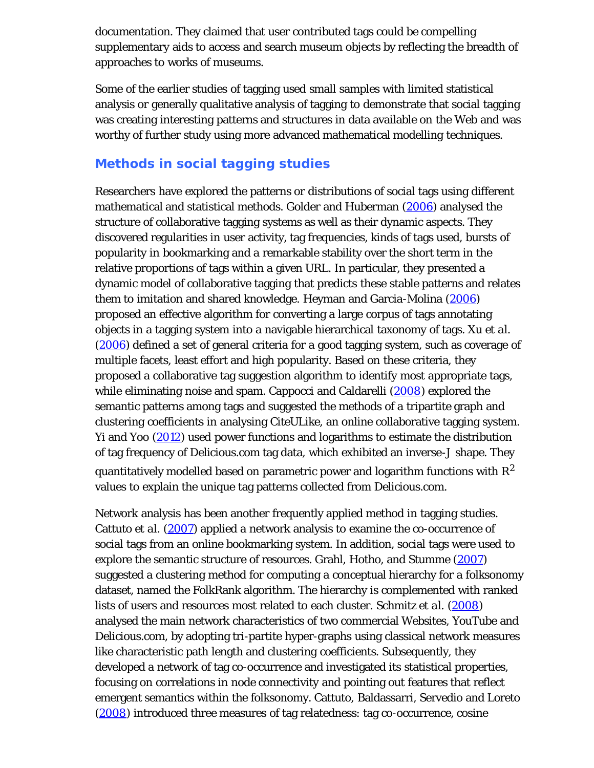documentation. They claimed that user contributed tags could be compelling supplementary aids to access and search museum objects by reflecting the breadth of approaches to works of museums.

Some of the earlier studies of tagging used small samples with limited statistical analysis or generally qualitative analysis of tagging to demonstrate that social tagging was creating interesting patterns and structures in data available on the Web and was worthy of further study using more advanced mathematical modelling techniques.

## **Methods in social tagging studies**

Researchers have explored the patterns or distributions of social tags using different mathematical and statistical methods. Golder and Huberman (2006) analysed the structure of collaborative tagging systems as well as their dynamic aspects. They discovered regularities in user activity, tag frequencies, kinds of tags used, bursts of popularity in bookmarking and a remarkable stability over the short term in the relative proportions of tags within a given URL. In particular, they presented a dynamic model of collaborative tagging that predicts these stable patterns and relates them to imitation and shared knowledge. Heyman and Garcia-Molina (2006) proposed an effective algorithm for converting a large corpus of tags annotating objects in a tagging system into a navigable hierarchical taxonomy of tags. Xu *et al.* (2006) defined a set of general criteria for a good tagging system, such as coverage of multiple facets, least effort and high popularity. Based on these criteria, they proposed a collaborative tag suggestion algorithm to identify most appropriate tags, while eliminating noise and spam. Cappocci and Caldarelli (2008) explored the semantic patterns among tags and suggested the methods of a tripartite graph and clustering coefficients in analysing CiteULike, an online collaborative tagging system. Yi and Yoo (2012) used power functions and logarithms to estimate the distribution of tag frequency of Delicious.com tag data, which exhibited an inverse-J shape. They quantitatively modelled based on parametric power and logarithm functions with  $\mathbb{R}^2$ values to explain the unique tag patterns collected from Delicious.com.

Network analysis has been another frequently applied method in tagging studies. Cattuto *et al.* ([2007\)](#page-0-0) applied a network analysis to examine the co-occurrence of social tags from an online bookmarking system. In addition, social tags were used to explore the semantic structure of resources. Grahl, Hotho, and Stumme (2007) suggested a clustering method for computing a conceptual hierarchy for a folksonomy dataset, named the FolkRank algorithm. The hierarchy is complemented with ranked lists of users and resources most related to each cluster. Schmitz *et al.* (2008) analysed the main network characteristics of two commercial Websites, YouTube and Delicious.com, by adopting tri-partite hyper-graphs using classical network measures like characteristic path length and clustering coefficients. Subsequently, they developed a network of tag co-occurrence and investigated its statistical properties, focusing on correlations in node connectivity and pointing out features that reflect emergent semantics within the folksonomy. Cattuto, Baldassarri, Servedio and Loreto (2008) introduced three measures of tag relatedness: tag co-occurrence, cosine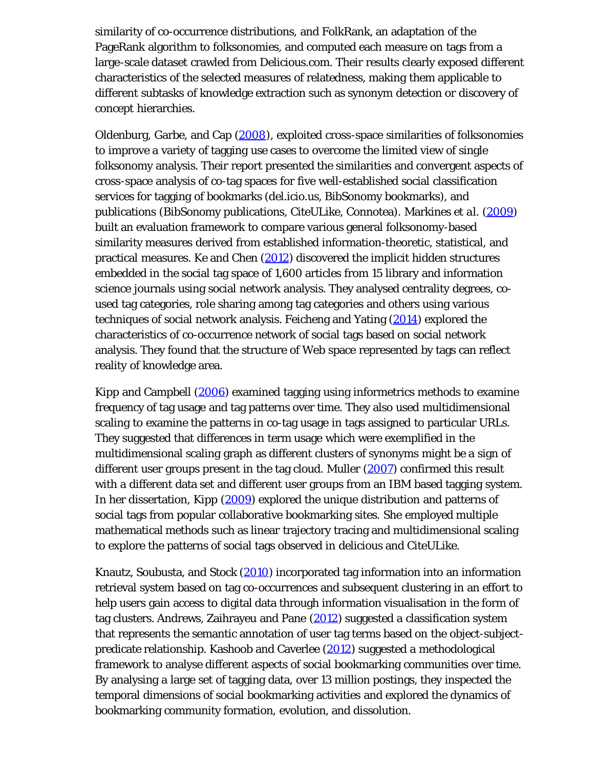similarity of co-occurrence distributions, and FolkRank, an adaptation of the PageRank algorithm to folksonomies, and computed each measure on tags from a large-scale dataset crawled from Delicious.com. Their results clearly exposed different characteristics of the selected measures of relatedness, making them applicable to different subtasks of knowledge extraction such as synonym detection or discovery of concept hierarchies.

Oldenburg, Garbe, and Cap (2008), exploited cross-space similarities of folksonomies to improve a variety of tagging use cases to overcome the limited view of single folksonomy analysis. Their report presented the similarities and convergent aspects of cross-space analysis of co-tag spaces for five well-established social classification services for tagging of bookmarks (del.icio.us, BibSonomy bookmarks), and publications (BibSonomy publications, CiteULike, Connotea). Markines *et al.* (2009) built an evaluation framework to compare various general folksonomy-based similarity measures derived from established information-theoretic, statistical, and practical measures. Ke and Chen (2012) discovered the implicit hidden structures embedded in the social tag space of 1,600 articles from 15 library and information science journals using social network analysis. They analysed centrality degrees, coused tag categories, role sharing among tag categories and others using various techniques of social network analysis. Feicheng and Yating (2014) explored the characteristics of co-occurrence network of social tags based on social network analysis. They found that the structure of Web space represented by tags can reflect reality of knowledge area.

Kipp and Campbell (2006) examined tagging using informetrics methods to examine frequency of tag usage and tag patterns over time. They also used multidimensional scaling to examine the patterns in co-tag usage in tags assigned to particular URLs. They suggested that differences in term usage which were exemplified in the multidimensional scaling graph as different clusters of synonyms might be a sign of different user groups present in the tag cloud. Muller (2007) confirmed this result with a different data set and different user groups from an IBM based tagging system. In her dissertation, Kipp (2009) explored the unique distribution and patterns of social tags from popular collaborative bookmarking sites. She employed multiple mathematical methods such as linear trajectory tracing and multidimensional scaling to explore the patterns of social tags observed in delicious and CiteULike.

Knautz, Soubusta, and Stock (2010) incorporated tag information into an information retrieval system based on tag co-occurrences and subsequent clustering in an effort to help users gain access to digital data through information visualisation in the form of tag clusters. Andrews, Zaihrayeu and Pane (2012) suggested a classification system that represents the semantic annotation of user tag terms based on the object-subjectpredicate relationship. Kashoob and Caverlee (2012) suggested a methodological framework to analyse different aspects of social bookmarking communities over time. By analysing a large set of tagging data, over 13 million postings, they inspected the temporal dimensions of social bookmarking activities and explored the dynamics of bookmarking community formation, evolution, and dissolution.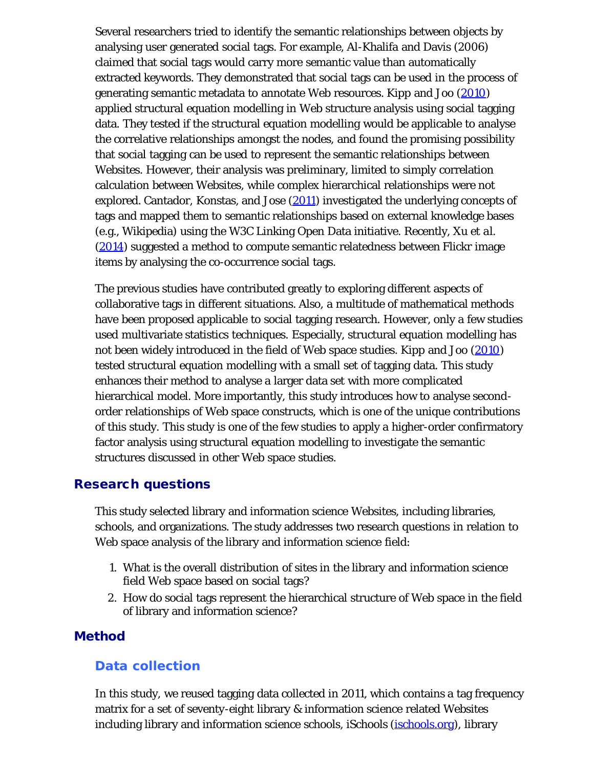Several researchers tried to identify the semantic relationships between objects by analysing user generated social tags. For example, Al-Khalifa and Davis (2006) claimed that social tags would carry more semantic value than automatically extracted keywords. They demonstrated that social tags can be used in the process of generating semantic metadata to annotate Web resources. Kipp and Joo (2010) applied structural equation modelling in Web structure analysis using social tagging data. They tested if the structural equation modelling would be applicable to analyse the correlative relationships amongst the nodes, and found the promising possibility that social tagging can be used to represent the semantic relationships between Websites. However, their analysis was preliminary, limited to simply correlation calculation between Websites, while complex hierarchical relationships were not explored. Cantador, Konstas, and Jose (2011) investigated the underlying concepts of tags and mapped them to semantic relationships based on external knowledge bases (e.g., Wikipedia) using the W3C Linking Open Data initiative. Recently, Xu *et al.* (2014) suggested a method to compute semantic relatedness between Flickr image items by analysing the co-occurrence social tags.

The previous studies have contributed greatly to exploring different aspects of collaborative tags in different situations. Also, a multitude of mathematical methods have been proposed applicable to social tagging research. However, only a few studies used multivariate statistics techniques. Especially, structural equation modelling has not been widely introduced in the field of Web space studies. Kipp and Joo (2010) tested structural equation modelling with a small set of tagging data. This study enhances their method to analyse a larger data set with more complicated hierarchical model. More importantly, this study introduces how to analyse secondorder relationships of Web space constructs, which is one of the unique contributions of this study. This study is one of the few studies to apply a higher-order confirmatory factor analysis using structural equation modelling to investigate the semantic structures discussed in other Web space studies.

## Research questions

This study selected library and information science Websites, including libraries, schools, and organizations. The study addresses two research questions in relation to Web space analysis of the library and information science field:

- 1. What is the overall distribution of sites in the library and information science field Web space based on social tags?
- 2. How do social tags represent the hierarchical structure of Web space in the field of library and information science?

#### Method

#### **Data collection**

In this study, we reused tagging data collected in 2011, which contains a tag frequency matrix for a set of seventy-eight library & information science related Websites including library and information science schools, iSchools (*ischools.org*), library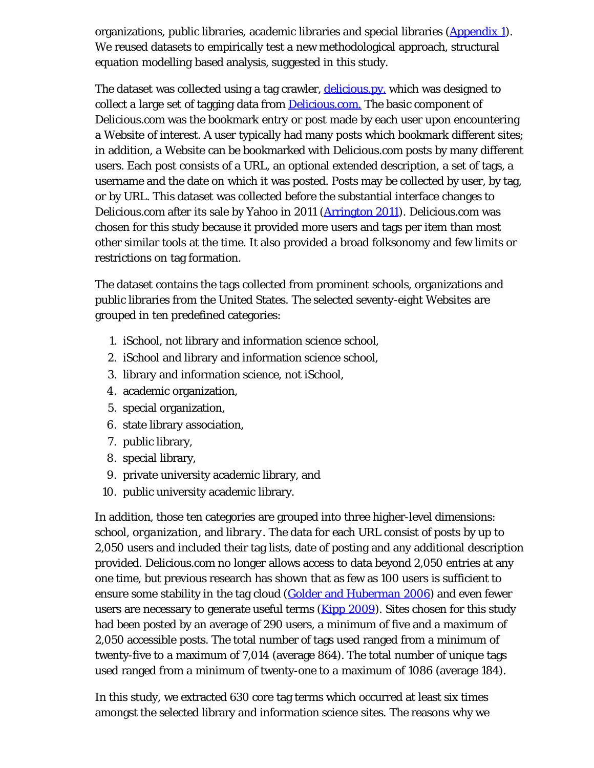organizations, public libraries, academic libraries and special libraries  $(\underline{Appendix 1})$ . We reused datasets to empirically test a new methodological approach, structural equation modelling based analysis, suggested in this study.

The dataset was collected using a tag crawler, [delicious.py,](https://gist.github.com/elazar/1431352) which was designed to collect a large set of tagging data from [Delicious.com.](https://delicious.com/) The basic component of Delicious.com was the bookmark entry or post made by each user upon encountering a Website of interest. A user typically had many posts which bookmark different sites; in addition, a Website can be bookmarked with Delicious.com posts by many different users. Each post consists of a URL, an optional extended description, a set of tags, a username and the date on which it was posted. Posts may be collected by user, by tag, or by URL. This dataset was collected before the substantial interface changes to Delicious.com after its sale by Yahoo in 2011 (Arrington 2011). Delicious.com was chosen for this study because it provided more users and tags per item than most other similar tools at the time. It also provided a broad folksonomy and few limits or restrictions on tag formation.

The dataset contains the tags collected from prominent schools, organizations and public libraries from the United States. The selected seventy-eight Websites are grouped in ten predefined categories:

- 1. iSchool, not library and information science school,
- 2. iSchool and library and information science school,
- 3. library and information science, not iSchool,
- 4. academic organization,
- 5. special organization,
- 6. state library association,
- 7. public library,
- 8. special library,
- 9. private university academic library, and
- 10. public university academic library.

In addition, those ten categories are grouped into three higher-level dimensions: *school*, *organization*, and *library*. The data for each URL consist of posts by up to 2,050 users and included their tag lists, date of posting and any additional description provided. Delicious.com no longer allows access to data beyond 2,050 entries at any one time, but previous research has shown that as few as 100 users is sufficient to ensure some stability in the tag cloud (Golder and Huberman 2006) and even fewer users are necessary to generate useful terms (**Kipp 2009**). Sites chosen for this study had been posted by an average of 290 users, a minimum of five and a maximum of 2,050 accessible posts. The total number of tags used ranged from a minimum of twenty-five to a maximum of 7,014 (average 864). The total number of unique tags used ranged from a minimum of twenty-one to a maximum of 1086 (average 184).

In this study, we extracted 630 core tag terms which occurred at least six times amongst the selected library and information science sites. The reasons why we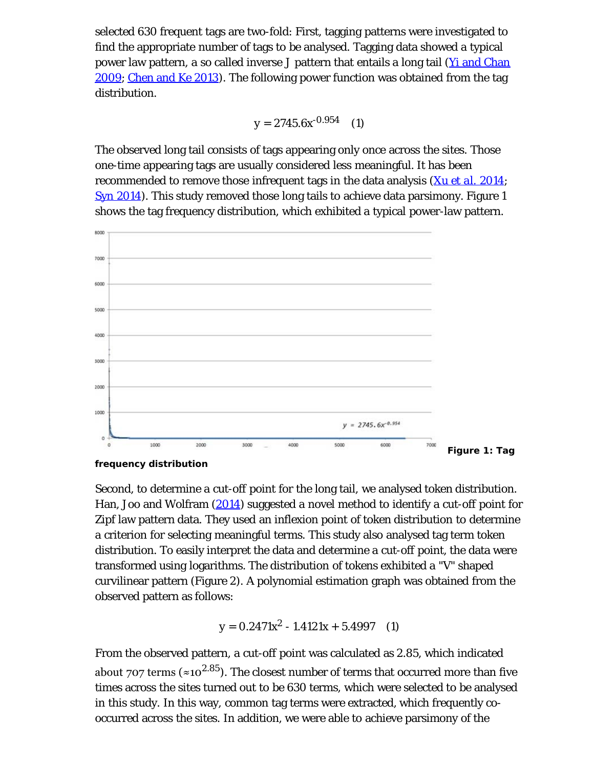selected 630 frequent tags are two-fold: First, tagging patterns were investigated to find the appropriate number of tags to be analysed. Tagging data showed a typical power law pattern, a so called inverse J pattern that entails a long tail (Yi and Chan 2009; Chen and Ke 2013). The following power function was obtained from the tag distribution.

$$
y = 2745.6x^{-0.954} \quad (1)
$$

The observed long tail consists of tags appearing only once across the sites. Those one-time appearing tags are usually considered less meaningful. It has been recommended to remove those infrequent tags in the data analysis (Xu *et al.* 2014; Syn 2014). This study removed those long tails to achieve data parsimony. Figure 1 shows the tag frequency distribution, which exhibited a typical power-law pattern.



**frequency distribution**

Second, to determine a cut-off point for the long tail, we analysed token distribution. Han, Joo and Wolfram (2014) suggested a novel method to identify a cut-off point for Zipf law pattern data. They used an inflexion point of token distribution to determine a criterion for selecting meaningful terms. This study also analysed tag term token distribution. To easily interpret the data and determine a cut-off point, the data were transformed using logarithms. The distribution of tokens exhibited a "V" shaped curvilinear pattern (Figure 2). A polynomial estimation graph was obtained from the observed pattern as follows:

$$
y = 0.2471x^2 - 1.4121x + 5.4997 \quad (1)
$$

From the observed pattern, a cut-off point was calculated as 2.85, which indicated about 707 terms ( $\approx 10^{2.85}$ ). The closest number of terms that occurred more than five times across the sites turned out to be 630 terms, which were selected to be analysed in this study. In this way, common tag terms were extracted, which frequently cooccurred across the sites. In addition, we were able to achieve parsimony of the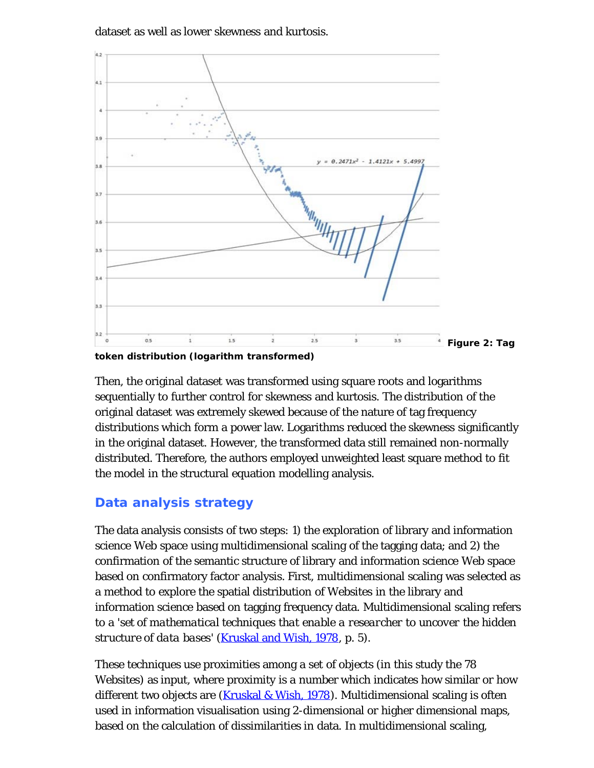dataset as well as lower skewness and kurtosis.



**token distribution (logarithm transformed)**

Then, the original dataset was transformed using square roots and logarithms sequentially to further control for skewness and kurtosis. The distribution of the original dataset was extremely skewed because of the nature of tag frequency distributions which form a power law. Logarithms reduced the skewness significantly in the original dataset. However, the transformed data still remained non-normally distributed. Therefore, the authors employed unweighted least square method to fit the model in the structural equation modelling analysis.

## **Data analysis strategy**

The data analysis consists of two steps: 1) the exploration of library and information science Web space using multidimensional scaling of the tagging data; and 2) the confirmation of the semantic structure of library and information science Web space based on confirmatory factor analysis. First, multidimensional scaling was selected as a method to explore the spatial distribution of Websites in the library and information science based on tagging frequency data. Multidimensional scaling refers to a '*set of mathematical techniques that enable a researcher to uncover the hidden structure of data bases*' (Kruskal and Wish, 1978, p. 5).

These techniques use proximities among a set of objects (in this study the 78 Websites) as input, where proximity is a number which indicates how similar or how different two objects are (Kruskal & Wish, 1978). Multidimensional scaling is often used in information visualisation using 2-dimensional or higher dimensional maps, based on the calculation of dissimilarities in data. In multidimensional scaling,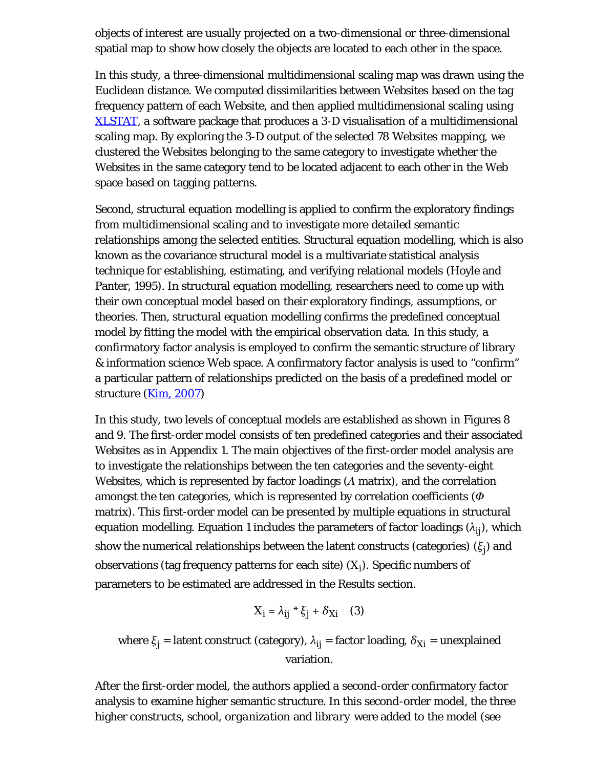objects of interest are usually projected on a two-dimensional or three-dimensional spatial map to show how closely the objects are located to each other in the space.

In this study, a three-dimensional multidimensional scaling map was drawn using the Euclidean distance. We computed dissimilarities between Websites based on the tag frequency pattern of each Website, and then applied multidimensional scaling using [XLSTAT,](http://www.xlstat.com/en/) a software package that produces a 3-D visualisation of a multidimensional scaling map. By exploring the 3-D output of the selected 78 Websites mapping, we clustered the Websites belonging to the same category to investigate whether the Websites in the same category tend to be located adjacent to each other in the Web space based on tagging patterns.

Second, structural equation modelling is applied to confirm the exploratory findings from multidimensional scaling and to investigate more detailed semantic relationships among the selected entities. Structural equation modelling, which is also known as the covariance structural model is a multivariate statistical analysis technique for establishing, estimating, and verifying relational models (Hoyle and Panter, 1995). In structural equation modelling, researchers need to come up with their own conceptual model based on their exploratory findings, assumptions, or theories. Then, structural equation modelling confirms the predefined conceptual model by fitting the model with the empirical observation data. In this study, a confirmatory factor analysis is employed to confirm the semantic structure of library & information science Web space. A confirmatory factor analysis is used to "confirm" a particular pattern of relationships predicted on the basis of a predefined model or structure (Kim, 2007)

In this study, two levels of conceptual models are established as shown in Figures 8 and 9. The first-order model consists of ten predefined categories and their associated Websites as in Appendix 1. The main objectives of the first-order model analysis are to investigate the relationships between the ten categories and the seventy-eight Websites, which is represented by factor loadings (*Λ* matrix), and the correlation amongst the ten categories, which is represented by correlation coefficients (*Φ* matrix). This first-order model can be presented by multiple equations in structural equation modelling. Equation 1 includes the parameters of factor loadings  $(\lambda_{ij})$ , which show the numerical relationships between the latent constructs (categories) (*ξj*) and observations (tag frequency patterns for each site) (*Xi* ). Specific numbers of parameters to be estimated are addressed in the Results section.

$$
X_i = \lambda_{ij} * \xi_j + \delta_{Xi} \quad (3)
$$

where  $\xi_i$  = latent construct (category),  $\lambda_{ii}$  = factor loading,  $\delta_{Xi}$  = unexplained variation.

After the first-order model, the authors applied a second-order confirmatory factor analysis to examine higher semantic structure. In this second-order model, the three higher constructs, *school*, *organization* and *library* were added to the model (see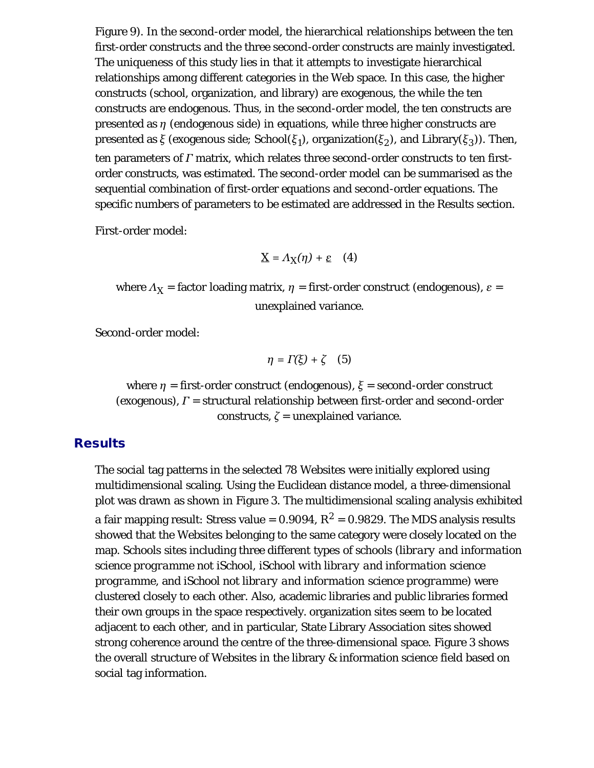Figure 9). In the second-order model, the hierarchical relationships between the ten first-order constructs and the three second-order constructs are mainly investigated. The uniqueness of this study lies in that it attempts to investigate hierarchical relationships among different categories in the Web space. In this case, the higher constructs (school, organization, and library) are exogenous, the while the ten constructs are endogenous. Thus, in the second-order model, the ten constructs are presented as *η* (endogenous side) in equations, while three higher constructs are presented as *ξ* (exogenous side; School(*ξ1*), organization(*ξ2*), and Library(*ξ3*)). Then, ten parameters of *Γ* matrix, which relates three second-order constructs to ten firstorder constructs, was estimated. The second-order model can be summarised as the sequential combination of first-order equations and second-order equations. The specific numbers of parameters to be estimated are addressed in the Results section.

First-order model:

$$
\underline{X} = \Lambda_X(\eta) + \underline{\varepsilon} \quad (4)
$$

where  $\Lambda_X$  = factor loading matrix,  $\eta$  = first-order construct (endogenous),  $\varepsilon$  = unexplained variance.

Second-order model:

$$
\eta = \Gamma(\xi) + \zeta \quad (5)
$$

where *η* = first-order construct (endogenous), *ξ* = second-order construct (exogenous), *Γ* = structural relationship between first-order and second-order constructs,  $\zeta$  = unexplained variance.

#### **Results**

The social tag patterns in the selected 78 Websites were initially explored using multidimensional scaling. Using the Euclidean distance model, a three-dimensional plot was drawn as shown in Figure 3. The multidimensional scaling analysis exhibited a fair mapping result: Stress value =  $0.9094$ ,  $R^2 = 0.9829$ . The MDS analysis results showed that the Websites belonging to the same category were closely located on the map. Schools sites including three different types of schools (*library and information science programme not iSchool*, *iSchool with library and information science programme*, and *iSchool not library and information science programme*) were clustered closely to each other. Also, academic libraries and public libraries formed their own groups in the space respectively. organization sites seem to be located adjacent to each other, and in particular, State Library Association sites showed strong coherence around the centre of the three-dimensional space. Figure 3 shows the overall structure of Websites in the library & information science field based on social tag information.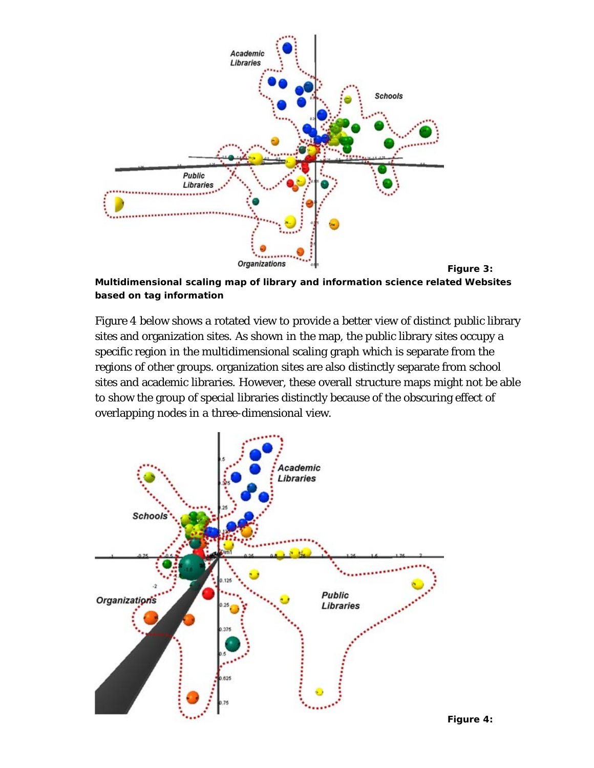

**Multidimensional scaling map of library and information science related Websites based on tag information**

Figure 4 below shows a rotated view to provide a better view of distinct public library sites and organization sites. As shown in the map, the public library sites occupy a specific region in the multidimensional scaling graph which is separate from the regions of other groups. organization sites are also distinctly separate from school sites and academic libraries. However, these overall structure maps might not be able to show the group of special libraries distinctly because of the obscuring effect of overlapping nodes in a three-dimensional view.



**Figure 4:**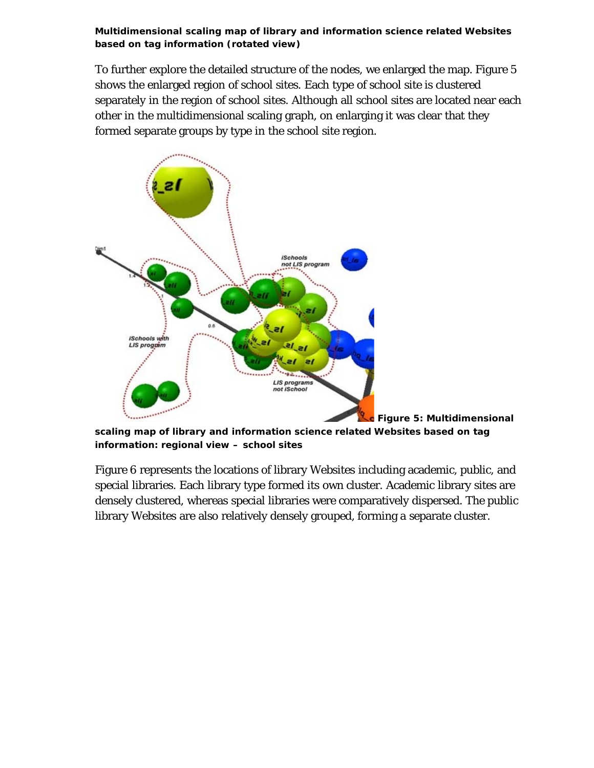**Multidimensional scaling map of library and information science related Websites based on tag information (rotated view)**

To further explore the detailed structure of the nodes, we enlarged the map. Figure 5 shows the enlarged region of school sites. Each type of school site is clustered separately in the region of school sites. Although all school sites are located near each other in the multidimensional scaling graph, on enlarging it was clear that they formed separate groups by type in the school site region.



**Figure 5: Multidimensional scaling map of library and information science related Websites based on tag information: regional view – school sites**

Figure 6 represents the locations of library Websites including academic, public, and special libraries. Each library type formed its own cluster. Academic library sites are densely clustered, whereas special libraries were comparatively dispersed. The public library Websites are also relatively densely grouped, forming a separate cluster.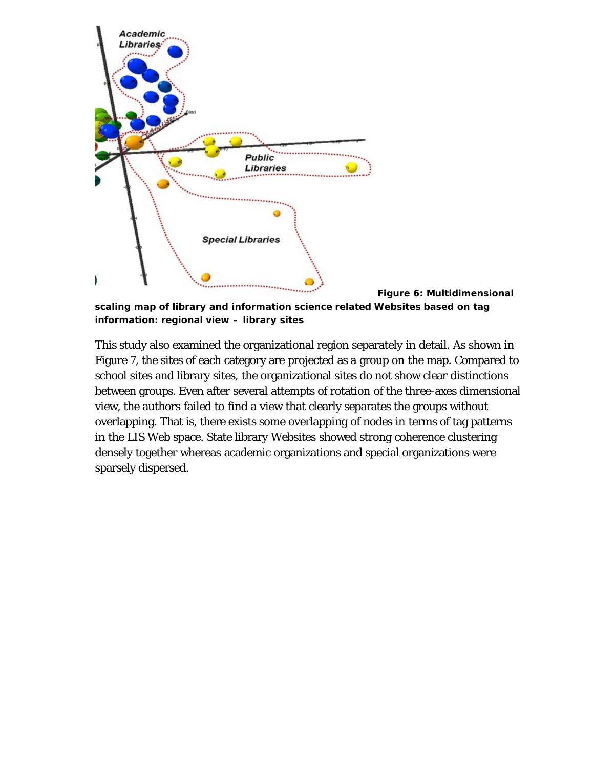

**Figure 6: Multidimensional scaling map of library and information science related Websites based on tag**

**information: regional view – library sites**

This study also examined the organizational region separately in detail. As shown in Figure 7, the sites of each category are projected as a group on the map. Compared to school sites and library sites, the organizational sites do not show clear distinctions between groups. Even after several attempts of rotation of the three-axes dimensional view, the authors failed to find a view that clearly separates the groups without overlapping. That is, there exists some overlapping of nodes in terms of tag patterns in the LIS Web space. State library Websites showed strong coherence clustering densely together whereas academic organizations and special organizations were sparsely dispersed.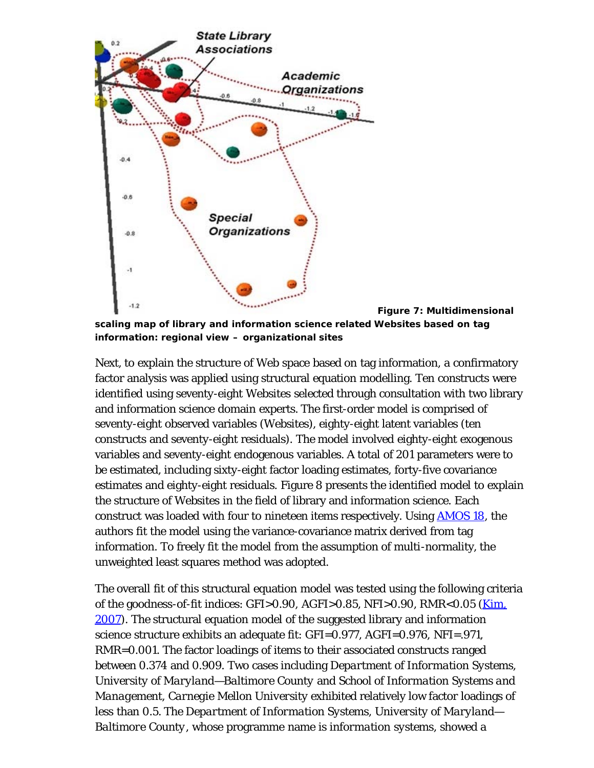

**Figure 7: Multidimensional scaling map of library and information science related Websites based on tag information: regional view – organizational sites**

Next, to explain the structure of Web space based on tag information, a confirmatory factor analysis was applied using structural equation modelling. Ten constructs were identified using seventy-eight Websites selected through consultation with two library and information science domain experts. The first-order model is comprised of seventy-eight observed variables (Websites), eighty-eight latent variables (ten constructs and seventy-eight residuals). The model involved eighty-eight exogenous variables and seventy-eight endogenous variables. A total of 201 parameters were to be estimated, including sixty-eight factor loading estimates, forty-five covariance estimates and eighty-eight residuals. Figure 8 presents the identified model to explain the structure of Websites in the field of library and information science. Each construct was loaded with four to nineteen items respectively. Using [AMOS 18,](http://www.spss.com/amos/) the authors fit the model using the variance-covariance matrix derived from tag information. To freely fit the model from the assumption of multi-normality, the unweighted least squares method was adopted.

The overall fit of this structural equation model was tested using the following criteria of the goodness-of-fit indices: GFI>0.90, AGFI>0.85, NFI>0.90, RMR<0.05 (*Kim,* 2007). The structural equation model of the suggested library and information science structure exhibits an adequate fit: GFI=0.977, AGFI=0.976, NFI=.971, RMR=0.001. The factor loadings of items to their associated constructs ranged between 0.374 and 0.909. Two cases including *Department of Information Systems, University of Maryland—Baltimore County* and *School of Information Systems and Management, Carnegie Mellon University* exhibited relatively low factor loadings of less than 0.5. The *Department of Information Systems, University of Maryland— Baltimore County*, whose programme name is *information systems*, showed a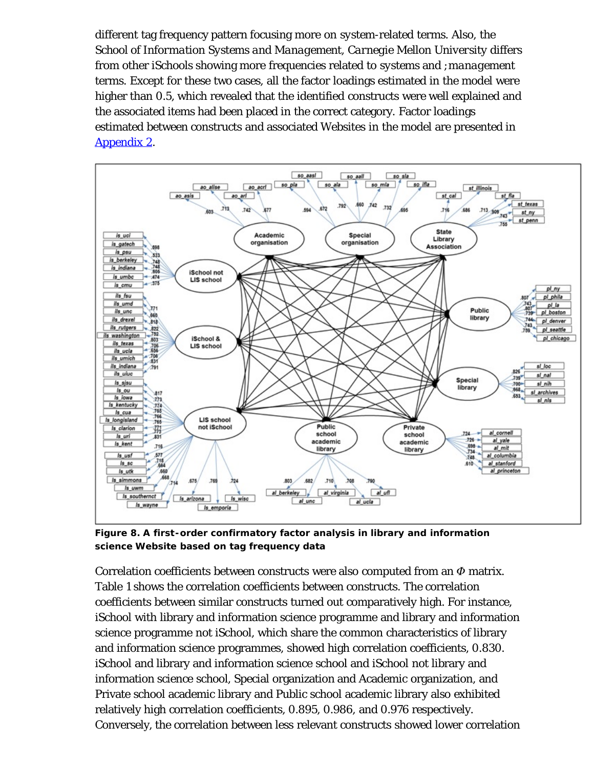different tag frequency pattern focusing more on *system*-related terms. Also, the *School of Information Systems and Management, Carnegie Mellon University* differs from other iSchools showing more frequencies related to *systems* and *;management* terms. Except for these two cases, all the factor loadings estimated in the model were higher than 0.5, which revealed that the identified constructs were well explained and the associated items had been placed in the correct category. Factor loadings estimated between constructs and associated Websites in the model are presented in Appendix 2.



**Figure 8. A first-order confirmatory factor analysis in library and information science Website based on tag frequency data**

Correlation coefficients between constructs were also computed from an *Φ* matrix. Table 1 shows the correlation coefficients between constructs. The correlation coefficients between similar constructs turned out comparatively high. For instance, iSchool with library and information science programme and library and information science programme not iSchool, which share the common characteristics of library and information science programmes, showed high correlation coefficients, 0.830. iSchool and library and information science school and iSchool not library and information science school, Special organization and Academic organization, and Private school academic library and Public school academic library also exhibited relatively high correlation coefficients, 0.895, 0.986, and 0.976 respectively. Conversely, the correlation between less relevant constructs showed lower correlation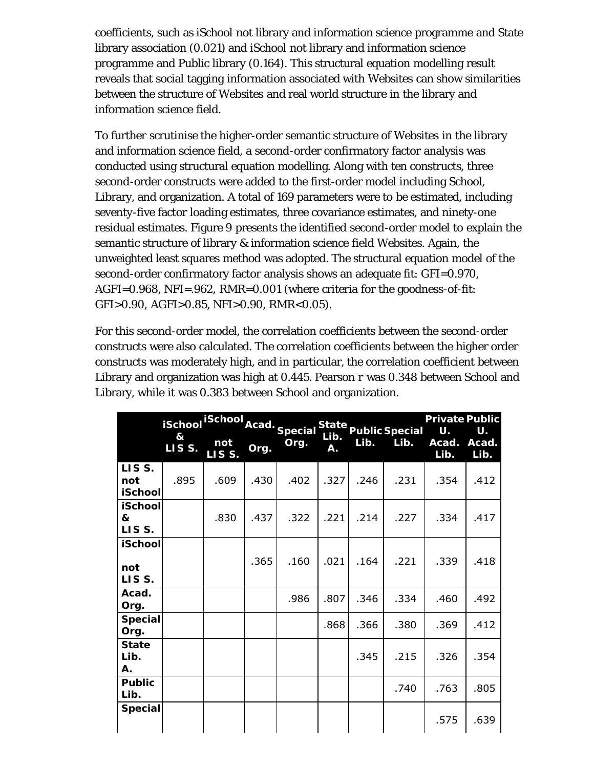coefficients, such as iSchool not library and information science programme and State library association (0.021) and iSchool not library and information science programme and Public library (0.164). This structural equation modelling result reveals that social tagging information associated with Websites can show similarities between the structure of Websites and real world structure in the library and information science field.

To further scrutinise the higher-order semantic structure of Websites in the library and information science field, a second-order confirmatory factor analysis was conducted using structural equation modelling. Along with ten constructs, three second-order constructs were added to the first-order model including School, Library, and organization. A total of 169 parameters were to be estimated, including seventy-five factor loading estimates, three covariance estimates, and ninety-one residual estimates. Figure 9 presents the identified second-order model to explain the semantic structure of library & information science field Websites. Again, the unweighted least squares method was adopted. The structural equation model of the second-order confirmatory factor analysis shows an adequate fit: GFI=0.970, AGFI=0.968, NFI=.962, RMR=0.001 (where criteria for the goodness-of-fit: GFI>0.90, AGFI>0.85, NFI>0.90, RMR<0.05).

For this second-order model, the correlation coefficients between the second-order constructs were also calculated. The correlation coefficients between the higher order constructs was moderately high, and in particular, the correlation coefficient between Library and organization was high at 0.445. Pearson *r* was 0.348 between School and Library, while it was 0.383 between School and organization.

|                                | <b>iSchool</b> | iSchool Acad. Special |      |      |            |      | State<br>Public Special | <b>Private Public</b><br>U. | U.            |
|--------------------------------|----------------|-----------------------|------|------|------------|------|-------------------------|-----------------------------|---------------|
|                                | &<br>LISS.     | not<br>LISS.          | Org. | Org. | Lib.<br>Α. | Lib. | Lib.                    | Acad.<br>Lib.               | Acad.<br>Lib. |
| LISS.<br>not<br><b>iSchool</b> | .895           | .609                  | .430 | .402 | .327       | .246 | .231                    | .354                        | .412          |
| <b>iSchool</b><br>&<br>LISS.   |                | .830                  | .437 | .322 | .221       | .214 | .227                    | .334                        | .417          |
| <b>iSchool</b><br>not<br>LISS. |                |                       | .365 | .160 | .021       | .164 | .221                    | .339                        | .418          |
| Acad.<br>Org.                  |                |                       |      | .986 | .807       | .346 | .334                    | .460                        | .492          |
| <b>Special</b><br>Org.         |                |                       |      |      | .868       | .366 | .380                    | .369                        | .412          |
| <b>State</b><br>Lib.<br>А.     |                |                       |      |      |            | .345 | .215                    | .326                        | .354          |
| <b>Public</b><br>Lib.          |                |                       |      |      |            |      | .740                    | .763                        | .805          |
| <b>Special</b>                 |                |                       |      |      |            |      |                         | .575                        | .639          |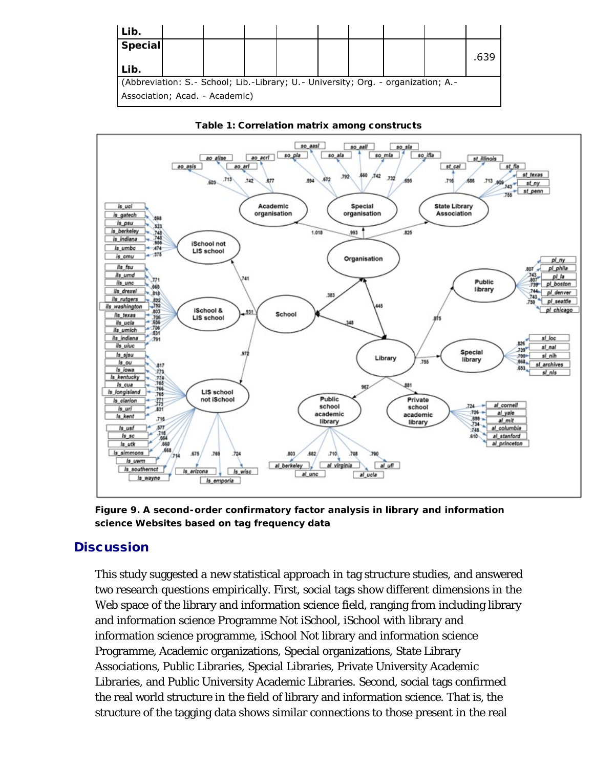| Lib.                                                                              |  |  |  |  |  |  |  |      |
|-----------------------------------------------------------------------------------|--|--|--|--|--|--|--|------|
| <b>Special</b>                                                                    |  |  |  |  |  |  |  |      |
|                                                                                   |  |  |  |  |  |  |  | .639 |
| Lib.                                                                              |  |  |  |  |  |  |  |      |
| (Abbreviation: S.- School; Lib.-Library; U.- University; Org. - organization; A.- |  |  |  |  |  |  |  |      |
| Association; Acad. - Academic)                                                    |  |  |  |  |  |  |  |      |





**Figure 9. A second-order confirmatory factor analysis in library and information science Websites based on tag frequency data**

#### **Discussion**

This study suggested a new statistical approach in tag structure studies, and answered two research questions empirically. First, social tags show different dimensions in the Web space of the library and information science field, ranging from including library and information science Programme Not iSchool, iSchool with library and information science programme, iSchool Not library and information science Programme, Academic organizations, Special organizations, State Library Associations, Public Libraries, Special Libraries, Private University Academic Libraries, and Public University Academic Libraries. Second, social tags confirmed the real world structure in the field of library and information science. That is, the structure of the tagging data shows similar connections to those present in the real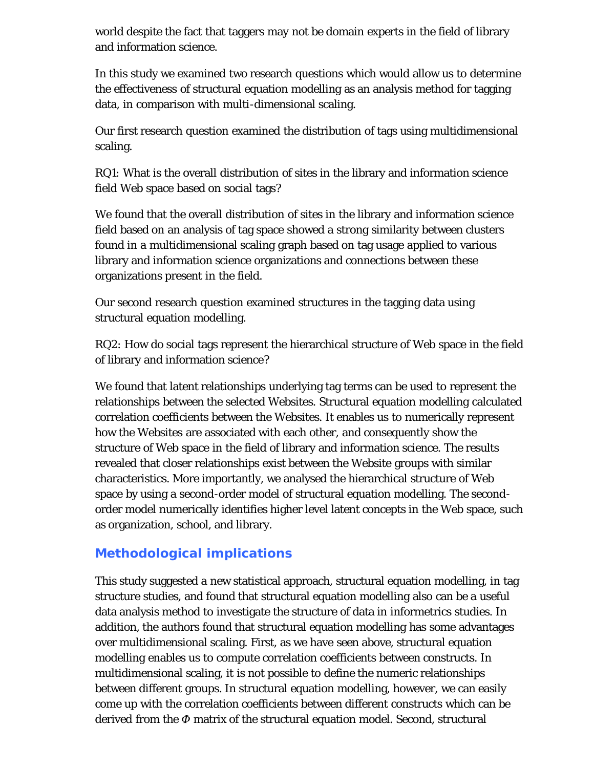world despite the fact that taggers may not be domain experts in the field of library and information science.

In this study we examined two research questions which would allow us to determine the effectiveness of structural equation modelling as an analysis method for tagging data, in comparison with multi-dimensional scaling.

Our first research question examined the distribution of tags using multidimensional scaling.

RQ1: What is the overall distribution of sites in the library and information science field Web space based on social tags?

We found that the overall distribution of sites in the library and information science field based on an analysis of tag space showed a strong similarity between clusters found in a multidimensional scaling graph based on tag usage applied to various library and information science organizations and connections between these organizations present in the field.

Our second research question examined structures in the tagging data using structural equation modelling.

RQ2: How do social tags represent the hierarchical structure of Web space in the field of library and information science?

We found that latent relationships underlying tag terms can be used to represent the relationships between the selected Websites. Structural equation modelling calculated correlation coefficients between the Websites. It enables us to numerically represent how the Websites are associated with each other, and consequently show the structure of Web space in the field of library and information science. The results revealed that closer relationships exist between the Website groups with similar characteristics. More importantly, we analysed the hierarchical structure of Web space by using a second-order model of structural equation modelling. The secondorder model numerically identifies higher level latent concepts in the Web space, such as organization, school, and library.

## **Methodological implications**

This study suggested a new statistical approach, structural equation modelling, in tag structure studies, and found that structural equation modelling also can be a useful data analysis method to investigate the structure of data in informetrics studies. In addition, the authors found that structural equation modelling has some advantages over multidimensional scaling. First, as we have seen above, structural equation modelling enables us to compute correlation coefficients between constructs. In multidimensional scaling, it is not possible to define the numeric relationships between different groups. In structural equation modelling, however, we can easily come up with the correlation coefficients between different constructs which can be derived from the *Φ* matrix of the structural equation model. Second, structural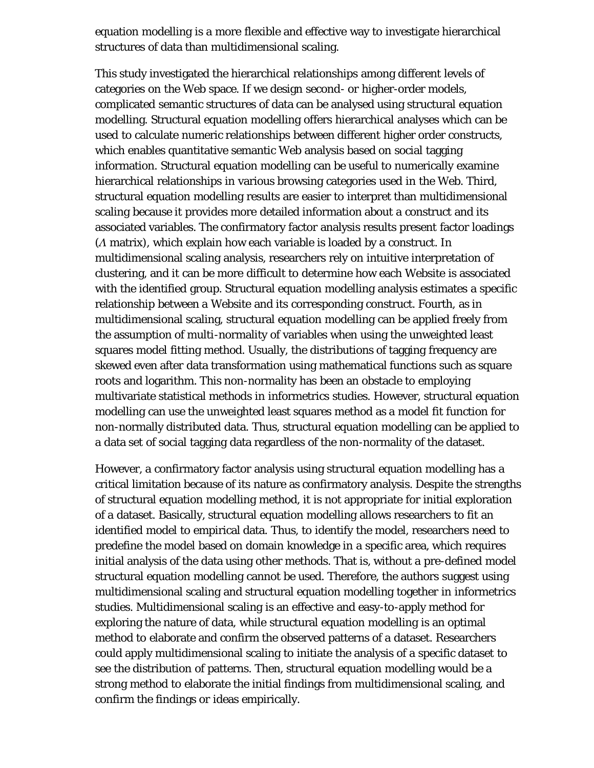equation modelling is a more flexible and effective way to investigate hierarchical structures of data than multidimensional scaling.

This study investigated the hierarchical relationships among different levels of categories on the Web space. If we design second- or higher-order models, complicated semantic structures of data can be analysed using structural equation modelling. Structural equation modelling offers hierarchical analyses which can be used to calculate numeric relationships between different higher order constructs, which enables quantitative semantic Web analysis based on social tagging information. Structural equation modelling can be useful to numerically examine hierarchical relationships in various browsing categories used in the Web. Third, structural equation modelling results are easier to interpret than multidimensional scaling because it provides more detailed information about a construct and its associated variables. The confirmatory factor analysis results present factor loadings (*Λ* matrix), which explain how each variable is loaded by a construct. In multidimensional scaling analysis, researchers rely on intuitive interpretation of clustering, and it can be more difficult to determine how each Website is associated with the identified group. Structural equation modelling analysis estimates a specific relationship between a Website and its corresponding construct. Fourth, as in multidimensional scaling, structural equation modelling can be applied freely from the assumption of multi-normality of variables when using the unweighted least squares model fitting method. Usually, the distributions of tagging frequency are skewed even after data transformation using mathematical functions such as square roots and logarithm. This non-normality has been an obstacle to employing multivariate statistical methods in informetrics studies. However, structural equation modelling can use the unweighted least squares method as a model fit function for non-normally distributed data. Thus, structural equation modelling can be applied to a data set of social tagging data regardless of the non-normality of the dataset.

However, a confirmatory factor analysis using structural equation modelling has a critical limitation because of its nature as confirmatory analysis. Despite the strengths of structural equation modelling method, it is not appropriate for initial exploration of a dataset. Basically, structural equation modelling allows researchers to fit an identified model to empirical data. Thus, to identify the model, researchers need to predefine the model based on domain knowledge in a specific area, which requires initial analysis of the data using other methods. That is, without a pre-defined model structural equation modelling cannot be used. Therefore, the authors suggest using multidimensional scaling and structural equation modelling together in informetrics studies. Multidimensional scaling is an effective and easy-to-apply method for exploring the nature of data, while structural equation modelling is an optimal method to elaborate and confirm the observed patterns of a dataset. Researchers could apply multidimensional scaling to initiate the analysis of a specific dataset to see the distribution of patterns. Then, structural equation modelling would be a strong method to elaborate the initial findings from multidimensional scaling, and confirm the findings or ideas empirically.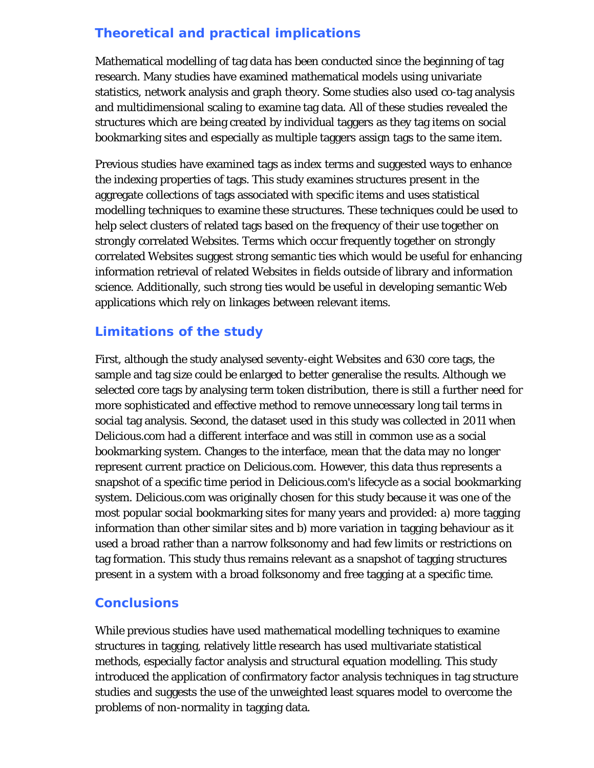## **Theoretical and practical implications**

Mathematical modelling of tag data has been conducted since the beginning of tag research. Many studies have examined mathematical models using univariate statistics, network analysis and graph theory. Some studies also used co-tag analysis and multidimensional scaling to examine tag data. All of these studies revealed the structures which are being created by individual taggers as they tag items on social bookmarking sites and especially as multiple taggers assign tags to the same item.

Previous studies have examined tags as index terms and suggested ways to enhance the indexing properties of tags. This study examines structures present in the aggregate collections of tags associated with specific items and uses statistical modelling techniques to examine these structures. These techniques could be used to help select clusters of related tags based on the frequency of their use together on strongly correlated Websites. Terms which occur frequently together on strongly correlated Websites suggest strong semantic ties which would be useful for enhancing information retrieval of related Websites in fields outside of library and information science. Additionally, such strong ties would be useful in developing semantic Web applications which rely on linkages between relevant items.

## **Limitations of the study**

First, although the study analysed seventy-eight Websites and 630 core tags, the sample and tag size could be enlarged to better generalise the results. Although we selected core tags by analysing term token distribution, there is still a further need for more sophisticated and effective method to remove unnecessary long tail terms in social tag analysis. Second, the dataset used in this study was collected in 2011 when Delicious.com had a different interface and was still in common use as a social bookmarking system. Changes to the interface, mean that the data may no longer represent current practice on Delicious.com. However, this data thus represents a snapshot of a specific time period in Delicious.com's lifecycle as a social bookmarking system. Delicious.com was originally chosen for this study because it was one of the most popular social bookmarking sites for many years and provided: a) more tagging information than other similar sites and b) more variation in tagging behaviour as it used a broad rather than a narrow folksonomy and had few limits or restrictions on tag formation. This study thus remains relevant as a snapshot of tagging structures present in a system with a broad folksonomy and free tagging at a specific time.

#### **Conclusions**

While previous studies have used mathematical modelling techniques to examine structures in tagging, relatively little research has used multivariate statistical methods, especially factor analysis and structural equation modelling. This study introduced the application of confirmatory factor analysis techniques in tag structure studies and suggests the use of the unweighted least squares model to overcome the problems of non-normality in tagging data.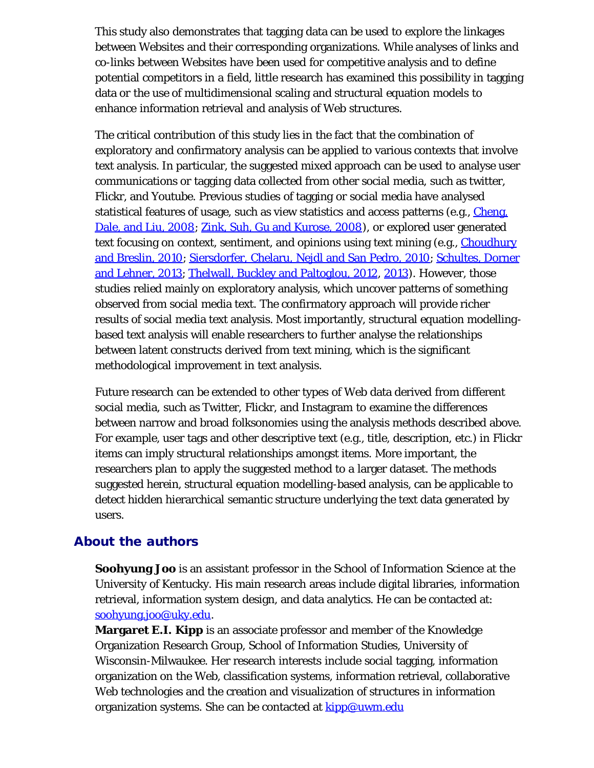This study also demonstrates that tagging data can be used to explore the linkages between Websites and their corresponding organizations. While analyses of links and co-links between Websites have been used for competitive analysis and to define potential competitors in a field, little research has examined this possibility in tagging data or the use of multidimensional scaling and structural equation models to enhance information retrieval and analysis of Web structures.

The critical contribution of this study lies in the fact that the combination of exploratory and confirmatory analysis can be applied to various contexts that involve text analysis. In particular, the suggested mixed approach can be used to analyse user communications or tagging data collected from other social media, such as twitter, Flickr, and Youtube. Previous studies of tagging or social media have analysed statistical features of usage, such as view statistics and access patterns (e.g., *Cheng*, Dale, and Liu, 2008; Zink, Suh, Gu and Kurose, 2008), or explored user generated text focusing on context, sentiment, and opinions using text mining (e.g., Choudhury and Breslin, 2010; Siersdorfer, Chelaru, Nejdl and San Pedro, 2010; Schultes, Dorner and Lehner, 2013; Thelwall, Buckley and Paltoglou, 2012, 2013). However, those studies relied mainly on exploratory analysis, which uncover patterns of something observed from social media text. The confirmatory approach will provide richer results of social media text analysis. Most importantly, structural equation modellingbased text analysis will enable researchers to further analyse the relationships between latent constructs derived from text mining, which is the significant methodological improvement in text analysis.

Future research can be extended to other types of Web data derived from different social media, such as Twitter, Flickr, and Instagram to examine the differences between narrow and broad folksonomies using the analysis methods described above. For example, user tags and other descriptive text (e.g., title, description, etc.) in Flickr items can imply structural relationships amongst items. More important, the researchers plan to apply the suggested method to a larger dataset. The methods suggested herein, structural equation modelling-based analysis, can be applicable to detect hidden hierarchical semantic structure underlying the text data generated by users.

#### About the authors

**Soohyung Joo** is an assistant professor in the School of Information Science at the University of Kentucky. His main research areas include digital libraries, information retrieval, information system design, and data analytics. He can be contacted at: [soohyung.joo@uky.edu.](mailto:soohyung.joo@uky.edu)

**Margaret E.I. Kipp** is an associate professor and member of the Knowledge Organization Research Group, School of Information Studies, University of Wisconsin-Milwaukee. Her research interests include social tagging, information organization on the Web, classification systems, information retrieval, collaborative Web technologies and the creation and visualization of structures in information organization systems. She can be contacted at **kipp@uwm.edu**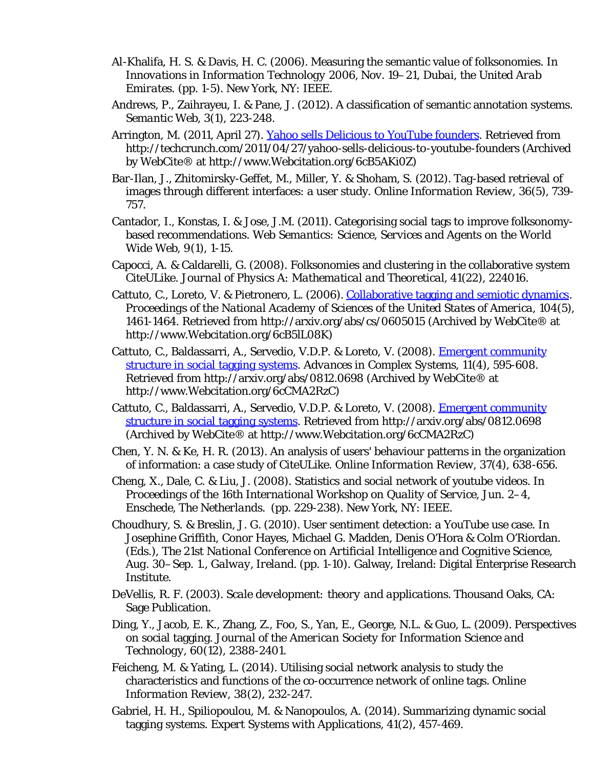- Al-Khalifa, H. S. & Davis, H. C. (2006). Measuring the semantic value of folksonomies. In *Innovations in Information Technology 2006, Nov. 19–21, Dubai, the United Arab Emirates.* (pp. 1-5). New York, NY: IEEE.
- Andrews, P., Zaihrayeu, I. & Pane, J. (2012). A classification of semantic annotation systems. *Semantic Web, 3*(1), 223-248.
- Arrington, M. (2011, April 27). [Yahoo sells Delicious to YouTube founders.](http://www.webcitation.org/6cB5AKi0Z) Retrieved from http://techcrunch.com/2011/04/27/yahoo-sells-delicious-to-youtube-founders (Archived by WebCite® at http://www.Webcitation.org/6cB5AKi0Z)
- Bar-Ilan, J., Zhitomirsky-Geffet, M., Miller, Y. & Shoham, S. (2012). Tag-based retrieval of images through different interfaces: a user study. *Online Information Review, 36*(5), 739- 757.
- Cantador, I., Konstas, I. & Jose, J.M. (2011). Categorising social tags to improve folksonomybased recommendations. *Web Semantics: Science, Services and Agents on the World Wide Web, 9*(1), 1-15.
- Capocci, A. & Caldarelli, G. (2008). Folksonomies and clustering in the collaborative system CiteULike. *Journal of Physics A: Mathematical and Theoretical, 41*(22), 224016.
- Cattuto, C., Loreto, V. & Pietronero, L. (2006). [Collaborative tagging and semiotic dynamics.](http://www.webcitation.org/6cB5lL08K) *Proceedings of the National Academy of Sciences of the United States of America, 104*(5), 1461-1464. Retrieved from http://arxiv.org/abs/cs/0605015 (Archived by WebCite® at http://www.Webcitation.org/6cB5lL08K)
- Cattuto, C., Baldassarri, A., Servedio, V.D.P. & Loreto, V. (2008). [Emergent community](http://www.webcitation.org/6cCMA2RzC) [structure in social tagging systems.](http://www.webcitation.org/6cCMA2RzC) *Advances in Complex Systems, 11*(4), 595-608. Retrieved from http://arxiv.org/abs/0812.0698 (Archived by WebCite® at http://www.Webcitation.org/6cCMA2RzC)
- Cattuto, C., Baldassarri, A., Servedio, V.D.P. & Loreto, V. (2008). [Emergent community](http://www.webcitation.org/6cCMA2RzC) [structure in social tagging systems.](http://www.webcitation.org/6cCMA2RzC) Retrieved from http://arxiv.org/abs/0812.0698 (Archived by WebCite® at http://www.Webcitation.org/6cCMA2RzC)
- Chen, Y. N. & Ke, H. R. (2013). An analysis of users' behaviour patterns in the organization of information: a case study of CiteULike. *Online Information Review, 37*(4), 638-656.
- Cheng, X., Dale, C. & Liu, J. (2008). Statistics and social network of youtube videos. In *Proceedings of the 16th International Workshop on Quality of Service, Jun. 2–4, Enschede, The Netherlands.* (pp. 229-238). New York, NY: IEEE.
- Choudhury, S. & Breslin, J. G. (2010). User sentiment detection: a YouTube use case. In Josephine Griffith, Conor Hayes, Michael G. Madden, Denis O'Hora & Colm O'Riordan. (Eds.), *The 21st National Conference on Artificial Intelligence and Cognitive Science, Aug. 30–Sep. 1., Galway, Ireland.* (pp. 1-10). Galway, Ireland: Digital Enterprise Research Institute.
- DeVellis, R. F. (2003). *Scale development: theory and applications.* Thousand Oaks, CA: Sage Publication.
- Ding, Y., Jacob, E. K., Zhang, Z., Foo, S., Yan, E., George, N.L. & Guo, L. (2009). Perspectives on social tagging. *Journal of the American Society for Information Science and Technology, 60*(12), 2388-2401.
- Feicheng, M. & Yating, L. (2014). Utilising social network analysis to study the characteristics and functions of the co-occurrence network of online tags. *Online Information Review, 38*(2), 232-247.
- Gabriel, H. H., Spiliopoulou, M. & Nanopoulos, A. (2014). Summarizing dynamic social tagging systems. *Expert Systems with Applications, 41*(2), 457-469.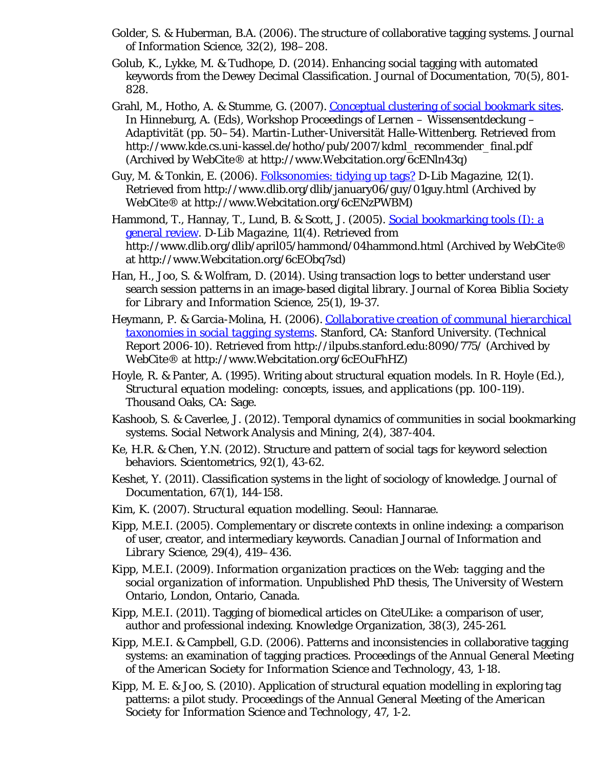- Golder, S. & Huberman, B.A. (2006). The structure of collaborative tagging systems. *Journal of Information Science, 32*(2), 198–208.
- Golub, K., Lykke, M. & Tudhope, D. (2014). Enhancing social tagging with automated keywords from the Dewey Decimal Classification. *Journal of Documentation, 70*(5), 801- 828.
- Grahl, M., Hotho, A. & Stumme, G. (2007). [Conceptual clustering of social bookmark sites.](http://www.webcitation.org/6cENln43q) In Hinneburg, A. (Eds), *Workshop Proceedings of Lernen – Wissensentdeckung – Adaptivität* (pp. 50–54). Martin-Luther-Universität Halle-Wittenberg. Retrieved from http://www.kde.cs.uni-kassel.de/hotho/pub/2007/kdml\_recommender\_final.pdf (Archived by WebCite® at http://www.Webcitation.org/6cENln43q)
- Guy, M. & Tonkin, E. (2006). [Folksonomies: tidying up tags?](http://www.webcitation.org/6cENzPWBM) *D-Lib Magazine, 12*(1). Retrieved from http://www.dlib.org/dlib/january06/guy/01guy.html (Archived by WebCite® at http://www.Webcitation.org/6cENzPWBM)
- Hammond, T., Hannay, T., Lund, B. & Scott, J. (2005). [Social bookmarking tools \(I\): a](http://www.webcitation.org/6cEObq7sd) [general review.](http://www.webcitation.org/6cEObq7sd) *D-Lib Magazine, 11*(4). Retrieved from http://www.dlib.org/dlib/april05/hammond/04hammond.html (Archived by WebCite® at http://www.Webcitation.org/6cEObq7sd)
- Han, H., Joo, S. & Wolfram, D. (2014). Using transaction logs to better understand user search session patterns in an image-based digital library. *Journal of Korea Biblia Society for Library and Information Science, 25*(1), 19-37.
- Heymann, P. & Garcia-Molina, H. (2006). *[Collaborative creation of communal hierarchical](http://www.webcitation.org/6cEOuFhHZ) [taxonomies in social tagging systems.](http://www.webcitation.org/6cEOuFhHZ)* Stanford, CA: Stanford University. (Technical Report 2006-10). Retrieved from http://ilpubs.stanford.edu:8090/775/ (Archived by WebCite® at http://www.Webcitation.org/6cEOuFhHZ)
- Hoyle, R. & Panter, A. (1995). Writing about structural equation models. In R. Hoyle (Ed.), *Structural equation modeling: concepts, issues, and applications (pp. 100-119).* Thousand Oaks, CA: Sage.
- Kashoob, S. & Caverlee, J. (2012). Temporal dynamics of communities in social bookmarking systems. *Social Network Analysis and Mining, 2*(4), 387-404.
- Ke, H.R. & Chen, Y.N. (2012). Structure and pattern of social tags for keyword selection behaviors. *Scientometrics, 92*(1), 43-62.
- Keshet, Y. (2011). Classification systems in the light of sociology of knowledge. *Journal of Documentation, 67*(1), 144-158.
- Kim, K. (2007). *Structural equation modelling.* Seoul: Hannarae.
- Kipp, M.E.I. (2005). Complementary or discrete contexts in online indexing: a comparison of user, creator, and intermediary keywords. *Canadian Journal of Information and Library Science, 29*(4), 419–436.
- Kipp, M.E.I. (2009). *Information organization practices on the Web: tagging and the social organization of information.* Unpublished PhD thesis, The University of Western Ontario, London, Ontario, Canada.
- Kipp, M.E.I. (2011). Tagging of biomedical articles on CiteULike: a comparison of user, author and professional indexing. *Knowledge Organization, 38*(3), 245-261.
- Kipp, M.E.I. & Campbell, G.D. (2006). Patterns and inconsistencies in collaborative tagging systems: an examination of tagging practices. *Proceedings of the Annual General Meeting of the American Society for Information Science and Technology, 43*, 1-18.
- Kipp, M. E. & Joo, S. (2010). Application of structural equation modelling in exploring tag patterns: a pilot study. *Proceedings of the Annual General Meeting of the American Society for Information Science and Technology, 47*, 1-2.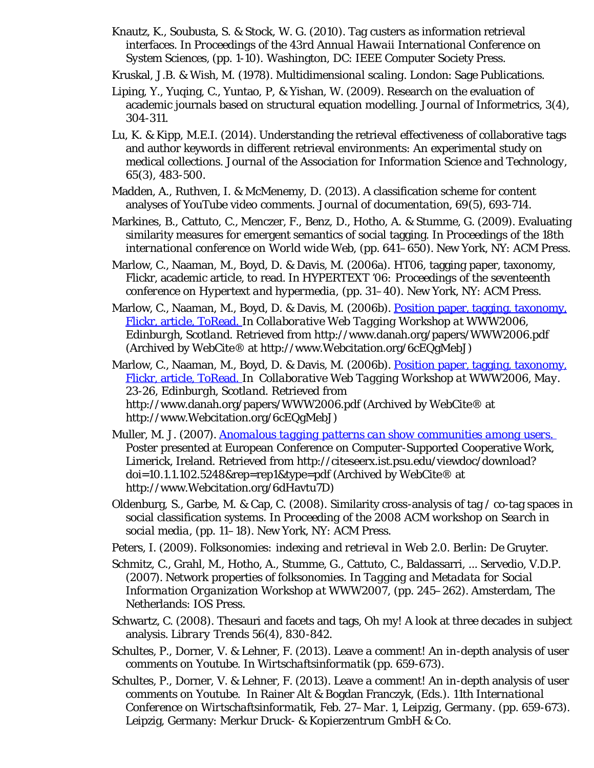- Knautz, K., Soubusta, S. & Stock, W. G. (2010). Tag custers as information retrieval interfaces. In *Proceedings of the 43rd Annual Hawaii International Conference on System Sciences,* (pp. 1-10). Washington, DC: IEEE Computer Society Press.
- Kruskal, J.B. & Wish, M. (1978). *Multidimensional scaling.* London: Sage Publications.
- Liping, Y., Yuqing, C., Yuntao, P, & Yishan, W. (2009). Research on the evaluation of academic journals based on structural equation modelling. *Journal of Informetrics, 3*(4), 304-311.
- Lu, K. & Kipp, M.E.I. (2014). Understanding the retrieval effectiveness of collaborative tags and author keywords in different retrieval environments: An experimental study on medical collections. *Journal of the Association for Information Science and Technology, 65*(3), 483-500.
- Madden, A., Ruthven, I. & McMenemy, D. (2013). A classification scheme for content analyses of YouTube video comments. *Journal of documentation, 69*(5), 693-714.
- Markines, B., Cattuto, C., Menczer, F., Benz, D., Hotho, A. & Stumme, G. (2009). Evaluating similarity measures for emergent semantics of social tagging. In *Proceedings of the 18th international conference on World wide Web,* (pp. 641–650). New York, NY: ACM Press.
- Marlow, C., Naaman, M., Boyd, D. & Davis, M. (2006a). HT06, tagging paper, taxonomy, Flickr, academic article, to read. In *HYPERTEXT '06: Proceedings of the seventeenth conference on Hypertext and hypermedia,* (pp. 31–40). New York, NY: ACM Press.
- Marlow, C., Naaman, M., Boyd, D. & Davis, M. (2006b). [Position paper, tagging, taxonomy,](http://www.webcitation.org/6cEQgMebJ) [Flickr, article, ToRead. I](http://www.webcitation.org/6cEQgMebJ)n *Collaborative Web Tagging Workshop at WWW2006, Edinburgh, Scotland.* Retrieved from http://www.danah.org/papers/WWW2006.pdf (Archived by WebCite® at http://www.Webcitation.org/6cEQgMebJ)
- Marlow, C., Naaman, M., Boyd, D. & Davis, M. (2006b). [Position paper, tagging, taxonomy,](http://www.webcitation.org/6cEQgMebJ) [Flickr, article, ToRead. I](http://www.webcitation.org/6cEQgMebJ)n *Collaborative Web Tagging Workshop at WWW2006, May. 23-26, Edinburgh, Scotland.* Retrieved from http://www.danah.org/papers/WWW2006.pdf (Archived by WebCite® at http://www.Webcitation.org/6cEQgMebJ)
- Muller, M. J. (2007). *[Anomalous tagging patterns can show communities among users.](http://www.webcitation.org/6dHavtu7D)*  Poster presented at European Conference on Computer-Supported Cooperative Work, Limerick, Ireland. Retrieved from http://citeseerx.ist.psu.edu/viewdoc/download? doi=10.1.1.102.5248&rep=rep1&type=pdf (Archived by WebCite® at http://www.Webcitation.org/6dHavtu7D)
- Oldenburg, S., Garbe, M. & Cap, C. (2008). Similarity cross-analysis of tag / co-tag spaces in social classification systems. In *Proceeding of the 2008 ACM workshop on Search in social media*, (pp. 11–18). New York, NY: ACM Press.
- Peters, I. (2009). *Folksonomies: indexing and retrieval in Web 2.0.* Berlin: De Gruyter.
- Schmitz, C., Grahl, M., Hotho, A., Stumme, G., Cattuto, C., Baldassarri, ... Servedio, V.D.P. (2007). Network properties of folksonomies. In *Tagging and Metadata for Social Information Organization Workshop at WWW2007*, (pp. 245–262). Amsterdam, The Netherlands: IOS Press.
- Schwartz, C. (2008). Thesauri and facets and tags, Oh my! A look at three decades in subject analysis. *Library Trends 56*(4), 830-842.
- Schultes, P., Dorner, V. & Lehner, F. (2013). Leave a comment! An in-depth analysis of user comments on Youtube. In *Wirtschaftsinformatik* (pp. 659-673).
- Schultes, P., Dorner, V. & Lehner, F. (2013). Leave a comment! An in-depth analysis of user comments on Youtube. In Rainer Alt & Bogdan Franczyk, (Eds.). *11th International Conference on Wirtschaftsinformatik, Feb. 27–Mar. 1, Leipzig, Germany.* (pp. 659-673). Leipzig, Germany: Merkur Druck- & Kopierzentrum GmbH & Co.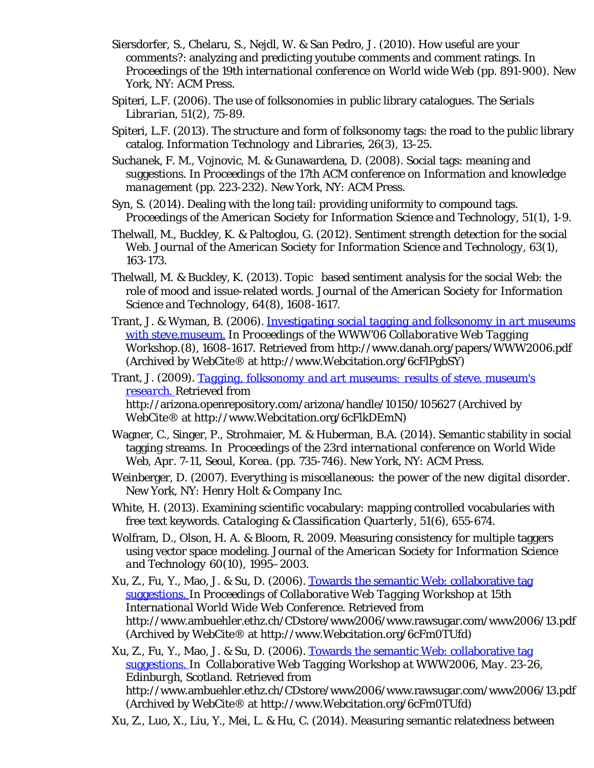- Siersdorfer, S., Chelaru, S., Nejdl, W. & San Pedro, J. (2010). How useful are your comments?: analyzing and predicting youtube comments and comment ratings. In *Proceedings of the 19th international conference on World wide Web* (pp. 891-900). New York, NY: ACM Press.
- Spiteri, L.F. (2006). The use of folksonomies in public library catalogues. *The Serials Librarian, 51*(2), 75-89.
- Spiteri, L.F. (2013). The structure and form of folksonomy tags: the road to the public library catalog. *Information Technology and Libraries, 26*(3), 13-25.
- Suchanek, F. M., Vojnovic, M. & Gunawardena, D. (2008). Social tags: meaning and suggestions. In *Proceedings of the 17th ACM conference on Information and knowledge management* (pp. 223-232). New York, NY: ACM Press.
- Syn, S. (2014). Dealing with the long tail: providing uniformity to compound tags. *Proceedings of the American Society for Information Science and Technology, 51*(1), 1-9.
- Thelwall, M., Buckley, K. & Paltoglou, G. (2012). Sentiment strength detection for the social Web. *Journal of the American Society for Information Science and Technology, 63*(1), 163-173.
- Thelwall, M. & Buckley, K. (2013). Topic based sentiment analysis for the social Web: the role of mood and issue-related words. *Journal of the American Society for Information Science and Technology, 64*(8), 1608-1617.
- Trant, J. & Wyman, B. (2006). *[Investigating social tagging and folksonomy in art museums](http://www.webcitation.org/6cFlPgbSY) [with steve.museum.](http://www.webcitation.org/6cFlPgbSY)* In *Proceedings of the WWW'06 Collaborative Web Tagging Workshop.*(8), 1608-1617. Retrieved from http://www.danah.org/papers/WWW2006.pdf (Archived by WebCite® at http://www.Webcitation.org/6cFlPgbSY)
- Trant, J. (2009). *[Tagging, folksonomy and art museums: results of steve. museum's](http://www.webcitation.org/6cFlkDEmN) [research.](http://www.webcitation.org/6cFlkDEmN)* Retrieved from http://arizona.openrepository.com/arizona/handle/10150/105627 (Archived by WebCite® at http://www.Webcitation.org/6cFlkDEmN)
- Wagner, C., Singer, P., Strohmaier, M. & Huberman, B.A. (2014). Semantic stability in social tagging streams. In *Proceedings of the 23rd international conference on World Wide Web, Apr. 7-11, Seoul, Korea.* (pp. 735-746). New York, NY: ACM Press.
- Weinberger, D. (2007). *Everything is miscellaneous: the power of the new digital disorder.* New York, NY: Henry Holt & Company Inc.
- White, H. (2013). Examining scientific vocabulary: mapping controlled vocabularies with free text keywords. *Cataloging & Classification Quarterly, 51*(6), 655-674.
- Wolfram, D., Olson, H. A. & Bloom, R. 2009. Measuring consistency for multiple taggers using vector space modeling. *Journal of the American Society for Information Science and Technology 60*(10), 1995–2003.
- Xu, Z., Fu, Y., Mao, J. & Su, D. (2006). [Towards the semantic Web: collaborative tag](http://www.webcitation.org/6cFlkDEmN) [suggestions. I](http://www.webcitation.org/6cFlkDEmN)n *Proceedings of Collaborative Web Tagging Workshop at 15th International World Wide Web Conference.* Retrieved from http://www.ambuehler.ethz.ch/CDstore/www2006/www.rawsugar.com/www2006/13.pdf (Archived by WebCite® at http://www.Webcitation.org/6cFm0TUfd)

Xu, Z., Fu, Y., Mao, J. & Su, D. (2006). [Towards the semantic Web: collaborative tag](http://www.webcitation.org/6cFlkDEmN) [suggestions. I](http://www.webcitation.org/6cFlkDEmN)n *Collaborative Web Tagging Workshop at WWW2006, May. 23-26, Edinburgh, Scotland.* Retrieved from http://www.ambuehler.ethz.ch/CDstore/www2006/www.rawsugar.com/www2006/13.pdf (Archived by WebCite® at http://www.Webcitation.org/6cFm0TUfd)

Xu, Z., Luo, X., Liu, Y., Mei, L. & Hu, C. (2014). Measuring semantic relatedness between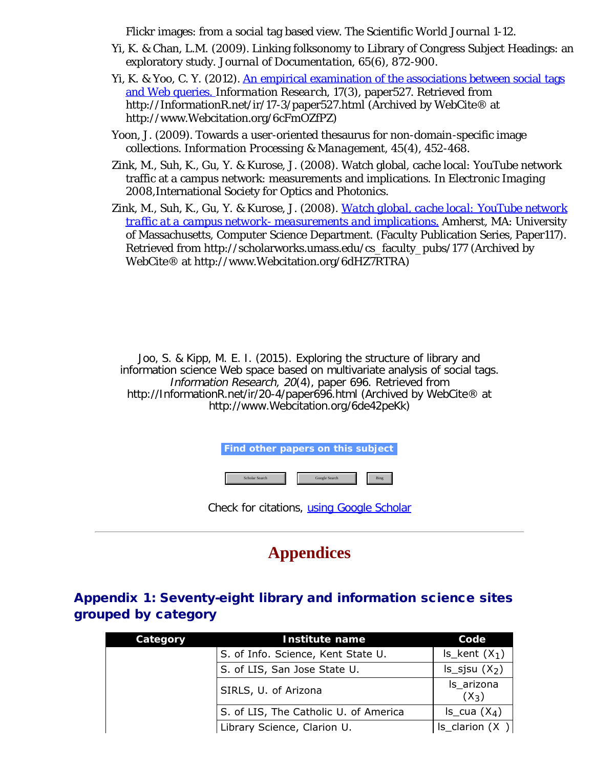Flickr images: from a social tag based view. *The Scientific World Journal* 1-12.

- Yi, K. & Chan, L.M. (2009). Linking folksonomy to Library of Congress Subject Headings: an exploratory study. *Journal of Documentation, 65*(6), 872-900.
- Yi, K. & Yoo, C. Y. (2012). [An empirical examination of the associations between social tags](http://www.webcitation.org/6cFmOZfPZ) [and Web queries.](http://www.webcitation.org/6cFmOZfPZ) *Information Research, 17*(3), paper527. Retrieved from http://InformationR.net/ir/17-3/paper527.html (Archived by WebCite® at http://www.Webcitation.org/6cFmOZfPZ)
- Yoon, J. (2009). Towards a user-oriented thesaurus for non-domain-specific image collections. *Information Processing & Management, 45*(4), 452-468.
- Zink, M., Suh, K., Gu, Y. & Kurose, J. (2008). Watch global, cache local: YouTube network traffic at a campus network: measurements and implications. In *Electronic Imaging 2008,*International Society for Optics and Photonics.
- Zink, M., Suh, K., Gu, Y. & Kurose, J. (2008). *[Watch global, cache local: YouTube network](http://www.webcitation.org/6dHZ7RTRA) [traffic at a campus network- measurements and implications.](http://www.webcitation.org/6dHZ7RTRA)* Amherst, MA: University of Massachusetts, Computer Science Department. (Faculty Publication Series, Paper117). Retrieved from http://scholarworks.umass.edu/cs\_faculty\_pubs/177 (Archived by WebCite® at http://www.Webcitation.org/6dHZ7RTRA)

Joo, S. & Kipp, M. E. I. (2015). Exploring the structure of library and information science Web space based on multivariate analysis of social tags. Information Research, 20(4), paper 696. Retrieved from http://InformationR.net/ir/20-4/paper696.html (Archived by WebCite® at http://www.Webcitation.org/6de42peKk)

**Find other papers on this subject**

Scholar Search Google Search Bing Bing

Check for citations, [using Google Scholar](http://scholar.google.co.uk/scholar?hl=en&q=http://informationr.net/ir/20-4/paper696.html&btnG=Search&as_sdt=2000)

## **Appendices**

## Appendix 1: Seventy-eight library and information science sites grouped by category

| Category | <b>Institute name</b>                 | Code                  |
|----------|---------------------------------------|-----------------------|
|          | S. of Info. Science, Kent State U.    | $Is$ kent $(X_1)$     |
|          | S. of LIS, San Jose State U.          | $ls$ _sjsu $(X_2)$    |
|          | SIRLS, U. of Arizona                  | ls_arizona<br>$(X_3)$ |
|          | S. of LIS, The Catholic U. of America | $Is\_cua(X_4)$        |
|          | Library Science, Clarion U.           | $ S_{clarion}(X) $    |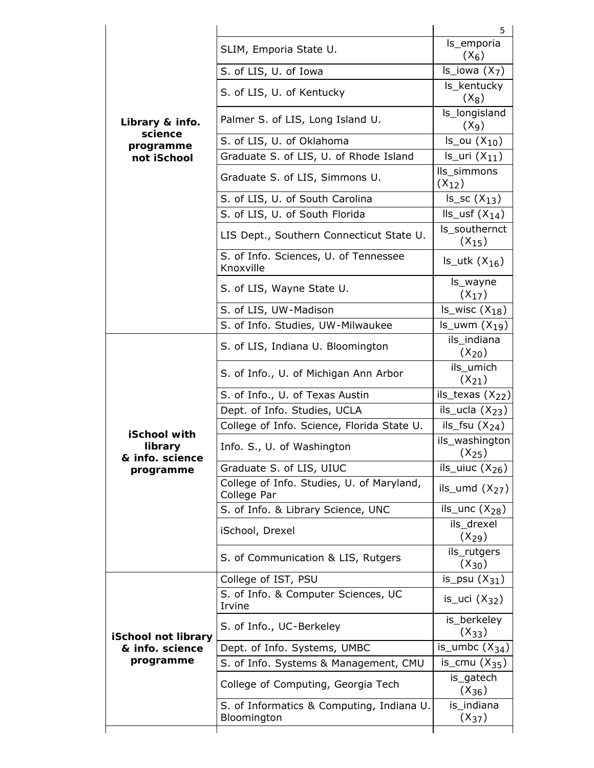|                            |                                                          | 5                                  |
|----------------------------|----------------------------------------------------------|------------------------------------|
|                            | SLIM, Emporia State U.                                   | ls_emporia<br>$(X_6)$              |
|                            | S. of LIS, U. of Iowa                                    | $Is\_iowa(X_7)$                    |
|                            | S. of LIS, U. of Kentucky                                | Is_kentucky<br>$(X_8)$             |
| Library & info.            | Palmer S. of LIS, Long Island U.                         | ls_longisland<br>(X <sub>9</sub> ) |
| science<br>programme       | S. of LIS, U. of Oklahoma                                | $Is_ou(X_{10})$                    |
| not iSchool                | Graduate S. of LIS, U. of Rhode Island                   | $Is_Uri(X_{11})$                   |
|                            | Graduate S. of LIS, Simmons U.                           | lls_simmons<br>$(X_{12})$          |
|                            | S. of LIS, U. of South Carolina                          | $Is\_sc(X_{13})$                   |
|                            | S. of LIS, U. of South Florida                           | $lls$ _usf $(X_{14})$              |
|                            | LIS Dept., Southern Connecticut State U.                 | Is southernct<br>$(X_{15})$        |
|                            | S. of Info. Sciences, U. of Tennessee<br>Knoxville       | $Is_{\text{l}}$ utk $(X_{16})$     |
|                            | S. of LIS, Wayne State U.                                | ls_wayne<br>$(X_{17})$             |
|                            | S. of LIS, UW-Madison                                    | $Is_wisc(X_{18})$                  |
|                            | S. of Info. Studies, UW-Milwaukee                        | $ls_lwm(X_{19})$                   |
|                            | S. of LIS, Indiana U. Bloomington                        | ils_indiana<br>$(X_{20})$          |
|                            | S. of Info., U. of Michigan Ann Arbor                    | ils_umich<br>$(X_{21})$            |
|                            | S. of Info., U. of Texas Austin                          | ils_texas $(X_{22})$               |
|                            | Dept. of Info. Studies, UCLA                             | ils_ucla $(X_{23})$                |
| iSchool with               | College of Info. Science, Florida State U.               | ils_fsu $(X_{24})$                 |
| library<br>& info. science | Info. S., U. of Washington                               | ils_washington<br>$(X_{25})$       |
| programme                  | Graduate S. of LIS, UIUC                                 | ils_uiuc $(X_{26})$                |
|                            | College of Info. Studies, U. of Maryland,<br>College Par | ils_umd $(X_{27})$                 |
|                            | S. of Info. & Library Science, UNC                       | ils_unc $(X_{28})$                 |
|                            | iSchool, Drexel                                          | ils_drexel<br>$(X_{29})$           |
|                            | S. of Communication & LIS, Rutgers                       | ils_rutgers<br>$(X_{30})$          |
|                            | College of IST, PSU                                      | is_psu $(X_{31})$                  |
|                            | S. of Info. & Computer Sciences, UC<br>Irvine            | is_uci $(X_{32})$                  |
| iSchool not library        | S. of Info., UC-Berkeley                                 | is_berkeley<br>$(X_{33})$          |
| & info. science            | Dept. of Info. Systems, UMBC                             | is_umbc $(X_{34})$                 |
| programme                  | S. of Info. Systems & Management, CMU                    | is_cmu $(X_{35})$                  |
|                            | College of Computing, Georgia Tech                       | is_gatech<br>$(X_{36})$            |
|                            |                                                          | is_indiana                         |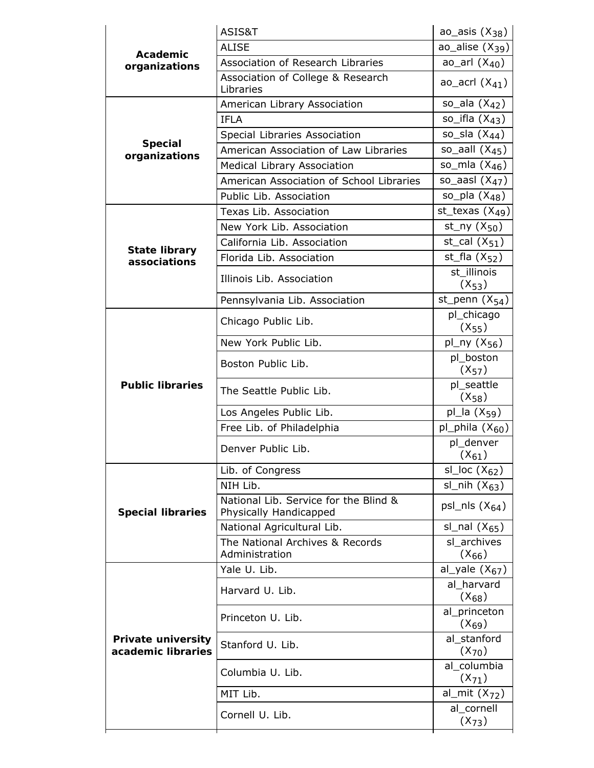|                                                 | ASIS&T                                                          | ao_asis $(X_{38})$         |
|-------------------------------------------------|-----------------------------------------------------------------|----------------------------|
| Academic                                        | <b>ALISE</b>                                                    | ao_alise $(X_{39})$        |
| organizations                                   | Association of Research Libraries                               | ao_arl $(X_{40})$          |
|                                                 | Association of College & Research<br>Libraries                  | ao_acrl $(X_{41})$         |
|                                                 | American Library Association                                    | so_ala $(X_{42})$          |
|                                                 | <b>IFLA</b>                                                     | so_ifla $(X_{4,3})$        |
|                                                 | Special Libraries Association                                   | so_sla $(X_{44})$          |
| <b>Special</b><br>organizations                 | American Association of Law Libraries                           | so_aall $(X_{45})$         |
|                                                 | Medical Library Association                                     | so_mla $(X_{46})$          |
|                                                 | American Association of School Libraries                        | so_aasl $(X_{47})$         |
|                                                 | Public Lib. Association                                         | so_pla $(X_{48})$          |
|                                                 | Texas Lib. Association                                          | st_texas $(X49)$           |
|                                                 | New York Lib. Association                                       | st_ny $(X_{50})$           |
|                                                 | California Lib. Association                                     | st_cal $(X_{51})$          |
| <b>State library</b><br>associations            | Florida Lib. Association                                        | st_fla $(X_{52})$          |
|                                                 | Illinois Lib. Association                                       | st illinois<br>$(X_{53})$  |
|                                                 | Pennsylvania Lib. Association                                   | st_penn $(X_{54})$         |
|                                                 | Chicago Public Lib.                                             | pl_chicago<br>$(X_{55})$   |
|                                                 | New York Public Lib.                                            | pl_ny $(X_{56})$           |
|                                                 | Boston Public Lib.                                              | pl_boston<br>$(X_{57})$    |
| <b>Public libraries</b>                         | The Seattle Public Lib.                                         | pl_seattle<br>$(X_{58})$   |
|                                                 | Los Angeles Public Lib.                                         | pl_la $(X_{59})$           |
|                                                 | Free Lib. of Philadelphia                                       | pl_phila $(X_{60})$        |
|                                                 | Denver Public Lib.                                              | pl_denver<br>$(X_{61})$    |
|                                                 | Lib. of Congress                                                | sl_loc $(X_{62})$          |
|                                                 | NIH Lib.                                                        | sl_nih $(X_{63})$          |
| <b>Special libraries</b>                        | National Lib. Service for the Blind &<br>Physically Handicapped | psl_nls $(X_{64})$         |
|                                                 | National Agricultural Lib.                                      | sl_nal $(X_{65})$          |
|                                                 | The National Archives & Records<br>Administration               | sl archives<br>$(X_{66})$  |
|                                                 | Yale U. Lib.                                                    | al_yale $(X_{67})$         |
|                                                 | Harvard U. Lib.                                                 | al harvard<br>$(X_{68})$   |
|                                                 | Princeton U. Lib.                                               | al_princeton<br>$(X_{69})$ |
| <b>Private university</b><br>academic libraries | Stanford U. Lib.                                                | al stanford<br>$(X_{70})$  |
|                                                 | Columbia U. Lib.                                                | al columbia<br>$(X_{71})$  |
|                                                 | MIT Lib.                                                        | al_mit $(X_{72})$          |
|                                                 | Cornell U. Lib.                                                 | al_cornell<br>$(X_{73})$   |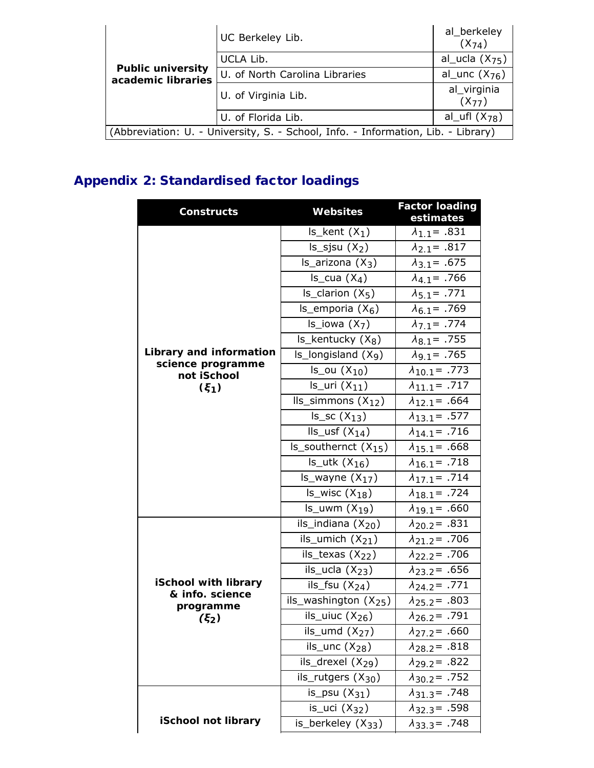|                                                                                   | UC Berkeley Lib.               | al_berkeley<br>$(X_{74})$ |  |  |
|-----------------------------------------------------------------------------------|--------------------------------|---------------------------|--|--|
|                                                                                   | UCLA Lib.                      | al_ucla $(X_{75})$        |  |  |
| <b>Public university</b><br>academic libraries                                    | U. of North Carolina Libraries | al_unc $(X_{76})$         |  |  |
|                                                                                   | U. of Virginia Lib.            | al_virginia<br>$(X_{77})$ |  |  |
|                                                                                   | U. of Florida Lib.             | al_ufl $(X_{78})$         |  |  |
| (Abbreviation: U. - University, S. - School, Info. - Information, Lib. - Library) |                                |                           |  |  |

## Appendix 2: Standardised factor loadings

| <b>Constructs</b>                              | <b>Websites</b>                  | <b>Factor loading</b><br>estimates |
|------------------------------------------------|----------------------------------|------------------------------------|
|                                                | $Is_{kent}(X_{1})$               | $\lambda_{1.7} = .831$             |
|                                                | $Is$ _sjsu $(X_2)$               | $\lambda_{2.7} = .817$             |
|                                                | $Is$ _arizona $(X_3)$            | $\lambda_{3.7} = .675$             |
|                                                | $Is\_cua(X_4)$                   | $\lambda_{4.7} = .766$             |
|                                                | $Is_{clarion}(X_5)$              | $\lambda_{5.7} = .771$             |
|                                                | $Is$ _emporia $(X_6)$            | $\lambda_{6.7} = .769$             |
|                                                | $Is\_iowa(X_7)$                  | $\lambda_{7.1} = .774$             |
|                                                | $Is$ _kentucky $(X_8)$           | $\lambda_{8.7} = .755$             |
| Library and information                        | $ls$ _longisland $(Xq)$          | $\lambda_{9.1} = .765$             |
| science programme<br>not iSchool               | $Is_ou(X_{10})$                  | $\lambda_{10.1}$ = .773            |
| $(\xi_1)$                                      | $Is_Uri(X_{11})$                 | $\lambda_{11.1} = .717$            |
|                                                | $lls$ _simmons $(X_{12})$        | $\lambda_{12.1}$ = .664            |
|                                                | $Is\_sc(X_{13})$                 | $\lambda_{13.1} = .577$            |
|                                                | $lls$ _usf $(X_{14})$            | $\lambda_{14.1} = .716$            |
|                                                | Is_southernct $(X_{15})$         | $\lambda_{15.1}$ = .668            |
|                                                | $Is_{\text{u}}$ utk $(X_{16})$   | $\lambda_{16.1} = .718$            |
|                                                | $Is_{\text{w}}$ wayne $(X_{17})$ | $\lambda_{17.1} = .714$            |
|                                                | $Is_wisc(X_{18})$                | $\lambda_{18.1}$ = .724            |
|                                                | $ls_lwm(X_{19})$                 | $\lambda_{19.1}$ = .660            |
|                                                | ils_indiana $(X_{20})$           | $\lambda_{20.2}$ = .831            |
|                                                | ils_umich $(X_{21})$             | $\lambda_{21.2}$ = .706            |
|                                                | ils_texas $(X_{22})$             | $\lambda_{22.2}$ = .706            |
|                                                | ils_ucla $(X_{23})$              | $\lambda_{23.2}$ = .656            |
| <b>iSchool with library</b><br>& info. science | ils_fsu $(X_{24})$               | $\lambda_{24.2} = .771$            |
| programme                                      | ils_washington $(X_{25})$        | $\lambda_{25.2}$ = .803            |
| (5, 2)                                         | ils_uiuc $(X_{26})$              | $\lambda_{26.2}$ = .791            |
|                                                | ils_umd $(X_{27})$               | $\lambda_{27.2}$ = .660            |
|                                                | ils_unc $(X_{28})$               | $\lambda_{28.2}$ = .818            |
|                                                | ils_drexel $(X_{29})$            | $\lambda_{29.2}$ = .822            |
|                                                | ils_rutgers $(X_{30})$           | $\lambda_{30.2}$ = .752            |
|                                                | is_psu $(X_{31})$                | $\lambda_{31.3} = .748$            |
|                                                | is_uci $(X_{32})$                | $\lambda_{32.3} = .598$            |
| iSchool not library                            | is_berkeley $(X_{33})$           | $\lambda_{33.3} = .748$            |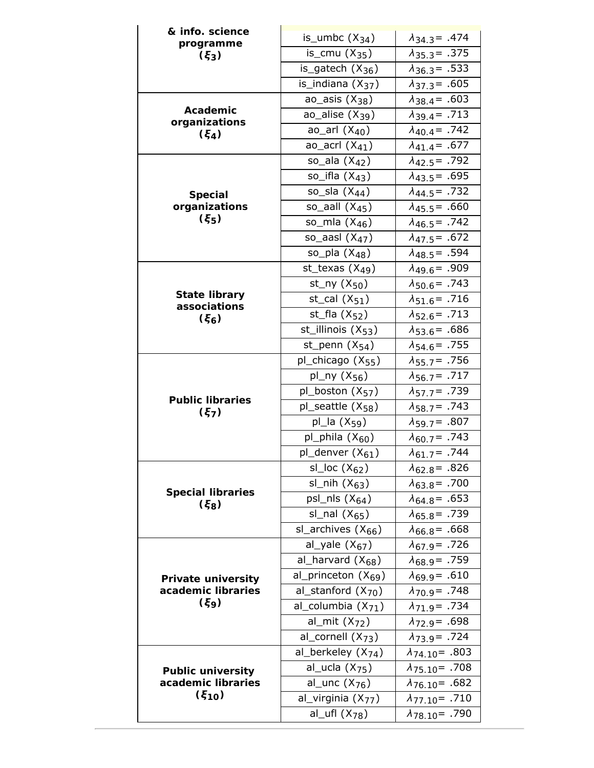| & info. science                       | is_umbc $(X_{34})$                          | $\lambda_{34.3} = .474$                            |
|---------------------------------------|---------------------------------------------|----------------------------------------------------|
| programme                             | is_cmu $(X_{35})$                           | $\lambda_{35.3} = .375$                            |
| $(\xi_3)$                             | is_gatech $(X_{36})$                        | $\lambda_{36.3} = .533$                            |
|                                       | is_indiana $(X_{37})$                       |                                                    |
|                                       |                                             | $\lambda_{37.3} = .605$                            |
| Academic                              | ao_asis $(X_{38})$                          | $\lambda_{38.4} = .603$                            |
| organizations                         | ao_alise $(X_{39})$                         | $\lambda_{39.4} = .713$                            |
| $(\xi_4)$                             | ao_arl $(X_{40})$                           | $\lambda_{40.4}$ = .742                            |
|                                       | ao_acrl $(X_{41})$                          | $\lambda_{41.4} = .677$                            |
|                                       | so_ala $(X_{42})$                           | $\lambda_{42.5}$ = .792                            |
|                                       | so_ifla $(X_{43})$                          | $\lambda_{43.5}$ = .695                            |
| <b>Special</b>                        | so_sla $(X_{44})$                           | $\lambda_{44.5}$ = .732                            |
| organizations                         | so_aall $(X_{45})$                          | $\lambda_{45.5}$ = .660                            |
| $(\xi_5)$                             | so_mla $(X_{46})$                           | $\lambda_{46.5}$ = .742                            |
|                                       | so_aasl $(X_{47})$                          | $\lambda_{47.5} = .672$                            |
|                                       | so_pla $(X_{48})$                           | $\lambda_{48.5}$ = .594                            |
|                                       | st_texas $(X_{49})$                         | $\lambda_{49,6}$ = .909                            |
|                                       | st_ny $(X_{50})$                            | $\lambda_{50.6}$ = .743                            |
| <b>State library</b>                  | st_cal $(X_{51})$                           | $\lambda_{51.6} = .716$                            |
| associations<br>$(\xi_6)$             | st_fla $(X_{52})$                           | $\lambda_{52.6}$ = .713                            |
|                                       | st_illinois $(X_{53})$                      | $\lambda_{53.6} = .686$                            |
|                                       | st_penn $(X_{54})$                          | $\lambda_{54.6} = .755$                            |
|                                       | pl_chicago $(X_{55})$                       | $\lambda_{55.7}$ = .756                            |
|                                       | pl_ny $(X_{56})$                            | $\lambda_{56.7} = .717$                            |
|                                       | pl_boston $(X_{57})$                        | $\lambda_{57.7}$ = .739                            |
| <b>Public libraries</b><br>$(\xi_7)$  | pl_seattle $(X_{58})$                       | $\lambda_{58.7}$ = .743                            |
|                                       | pl_la $(X_{59})$                            | $\lambda_{59.7} = .807$                            |
|                                       | pl_phila $(X_{60})$                         | $\lambda_{60.7} = .743$                            |
|                                       | pl_denver $(X_{61})$                        | $\lambda_{61,7}$ = .744                            |
|                                       | sl_loc $(X_{62})$                           | $\lambda_{62.8}$ = .826                            |
|                                       | sl_nih $(X_{63})$                           | $\lambda_{63.8} = .700$                            |
| <b>Special libraries</b><br>$(\xi_8)$ | psl_nls $(X_{64})$                          | $\lambda_{64.8} = .653$                            |
|                                       | sl_nal $(X_{65})$                           | $\lambda_{65.8} = .739$                            |
|                                       | sl_archives $(X_{66})$                      | $\lambda_{66.8} = .668$                            |
|                                       | al_yale $(X_{67})$                          | $\lambda_{67.9} = .726$                            |
|                                       | al_harvard $(X_{68})$                       | $\lambda_{68.9} = .759$                            |
| <b>Private university</b>             | al_princeton $(X_{69})$                     | $\lambda_{69.9} = .610$                            |
| academic libraries                    | al_stanford $(X_{70})$                      | $\lambda_{70.9}$ = .748                            |
| $(\xi_9)$                             | al_columbia $(X_{71})$                      | $\lambda_{71.9}$ = .734                            |
|                                       | al_mit $(X_{72})$                           | $\lambda_{72.9}$ = .698                            |
|                                       | al_cornell $(X_{73})$                       | $\lambda_{73.9} = .724$                            |
|                                       | al_berkeley $(X_{74})$                      | $\lambda_{74.10}$ - .803                           |
| <b>Public university</b>              | al_ucla $(X_{75})$                          | $\lambda_{75.10}$ - 708                            |
| academic libraries                    | al_unc $(X_{76})$                           | $\lambda_{76.10}$ = .682                           |
| (510)                                 |                                             |                                                    |
|                                       |                                             |                                                    |
|                                       | al_virginia $(X_{77})$<br>al_ufl $(X_{78})$ | $\lambda_{77.10}$ - 710<br>$\lambda_{78.10}$ - 790 |